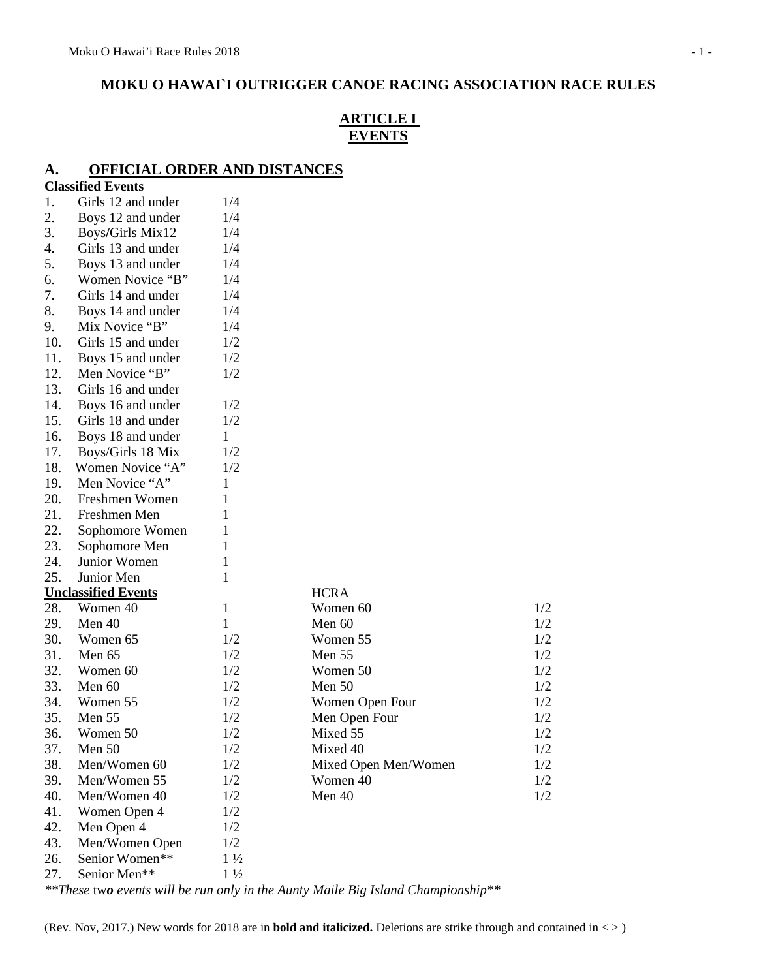## **MOKU O HAWAI`I OUTRIGGER CANOE RACING ASSOCIATION RACE RULES**

### **ARTICLE I EVENTS**

### **A. OFFICIAL ORDER AND DISTANCES**

| 1.  | <b>Classified Events</b>               | 1/4            |                      |     |
|-----|----------------------------------------|----------------|----------------------|-----|
| 2.  | Girls 12 and under                     | 1/4            |                      |     |
| 3.  | Boys 12 and under                      | 1/4            |                      |     |
| 4.  | Boys/Girls Mix12<br>Girls 13 and under | 1/4            |                      |     |
| 5.  |                                        | 1/4            |                      |     |
| 6.  | Boys 13 and under<br>Women Novice "B"  |                |                      |     |
| 7.  | Girls 14 and under                     | 1/4<br>1/4     |                      |     |
| 8.  |                                        |                |                      |     |
|     | Boys 14 and under<br>Mix Novice "B"    | 1/4<br>1/4     |                      |     |
| 9.  |                                        |                |                      |     |
| 10. | Girls 15 and under                     | 1/2            |                      |     |
| 11. | Boys 15 and under                      | 1/2            |                      |     |
| 12. | Men Novice "B"                         | 1/2            |                      |     |
| 13. | Girls 16 and under                     |                |                      |     |
| 14. | Boys 16 and under                      | 1/2            |                      |     |
| 15. | Girls 18 and under                     | 1/2            |                      |     |
| 16. | Boys 18 and under                      | $\mathbf{1}$   |                      |     |
| 17. | Boys/Girls 18 Mix                      | 1/2            |                      |     |
| 18. | Women Novice "A"                       | 1/2            |                      |     |
| 19. | Men Novice "A"                         | 1              |                      |     |
| 20. | Freshmen Women                         | 1              |                      |     |
| 21. | Freshmen Men                           | 1              |                      |     |
| 22. | Sophomore Women                        | 1              |                      |     |
| 23. | Sophomore Men                          | 1              |                      |     |
| 24. | Junior Women                           | $\mathbf{1}$   |                      |     |
| 25. | Junior Men                             | 1              |                      |     |
|     | <b>Unclassified Events</b>             |                | <b>HCRA</b>          |     |
| 28. | Women 40                               | 1              | Women 60             | 1/2 |
| 29. | Men 40                                 | $\mathbf{1}$   | Men 60               | 1/2 |
| 30. | Women 65                               | 1/2            | Women 55             | 1/2 |
| 31. | Men 65                                 | 1/2            | Men 55               | 1/2 |
| 32. | Women 60                               | 1/2            | Women 50             | 1/2 |
| 33. | Men 60                                 | 1/2            | Men 50               | 1/2 |
| 34. | Women 55                               | 1/2            | Women Open Four      | 1/2 |
| 35. | Men 55                                 | 1/2            | Men Open Four        | 1/2 |
| 36. | Women 50                               | 1/2            | Mixed 55             | 1/2 |
| 37. | Men 50                                 | 1/2            | Mixed 40             | 1/2 |
| 38. | Men/Women 60                           | 1/2            | Mixed Open Men/Women | 1/2 |
| 39. | Men/Women 55                           | 1/2            | Women 40             | 1/2 |
| 40. | Men/Women 40                           | 1/2            | Men 40               | 1/2 |
| 41. | Women Open 4                           | 1/2            |                      |     |
| 42. | Men Open 4                             | 1/2            |                      |     |
| 43. | Men/Women Open                         | 1/2            |                      |     |
| 26. | Senior Women**                         | $1\frac{1}{2}$ |                      |     |
| 27. | Senior Men**                           | $1\frac{1}{2}$ |                      |     |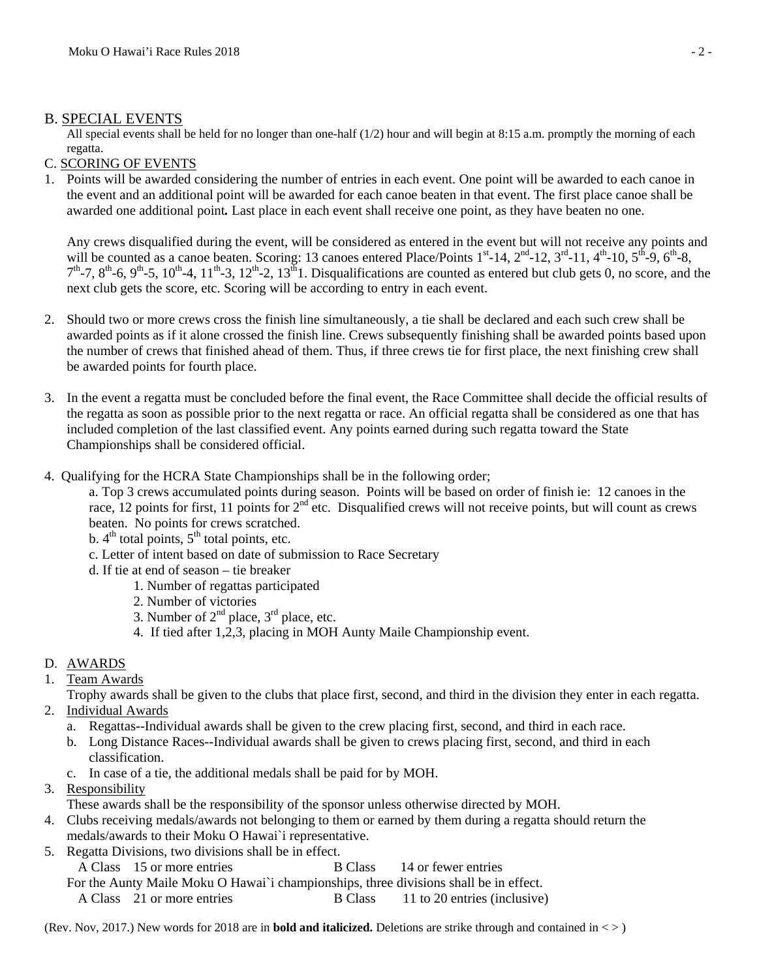### B. SPECIAL EVENTS

All special events shall be held for no longer than one-half  $(1/2)$  hour and will begin at 8:15 a.m. promptly the morning of each regatta.

### C. SCORING OF EVENTS

1. Points will be awarded considering the number of entries in each event. One point will be awarded to each canoe in the event and an additional point will be awarded for each canoe beaten in that event. The first place canoe shall be awarded one additional point*.* Last place in each event shall receive one point, as they have beaten no one.

Any crews disqualified during the event, will be considered as entered in the event but will not receive any points and will be counted as a canoe beaten. Scoring: 13 canoes entered Place/Points  $1^{st}$ -14,  $2^{nd}$ -12,  $3^{rd}$ -11,  $4^{th}$ -10,  $5^{th}$ -9,  $6^{th}$ -8,  $7<sup>th</sup>$ -7,  $8<sup>th</sup>$ -6,  $9<sup>th</sup>$ -5,  $10<sup>th</sup>$ -4,  $11<sup>th</sup>$ -3,  $12<sup>th</sup>$ -2,  $13<sup>th</sup>$  I. Disqualifications are counted as entered but club gets 0, no score, and the next club gets the score, etc. Scoring will be according to entry in each event.

- 2. Should two or more crews cross the finish line simultaneously, a tie shall be declared and each such crew shall be awarded points as if it alone crossed the finish line. Crews subsequently finishing shall be awarded points based upon the number of crews that finished ahead of them. Thus, if three crews tie for first place, the next finishing crew shall be awarded points for fourth place.
- 3. In the event a regatta must be concluded before the final event, the Race Committee shall decide the official results of the regatta as soon as possible prior to the next regatta or race. An official regatta shall be considered as one that has included completion of the last classified event. Any points earned during such regatta toward the State Championships shall be considered official.
- 4. Qualifying for the HCRA State Championships shall be in the following order;

a. Top 3 crews accumulated points during season. Points will be based on order of finish ie: 12 canoes in the race, 12 points for first, 11 points for  $2<sup>nd</sup>$  etc. Disqualified crews will not receive points, but will count as crews beaten. No points for crews scratched.

- b.  $4<sup>th</sup>$  total points,  $5<sup>th</sup>$  total points, etc.
- c. Letter of intent based on date of submission to Race Secretary
- d. If tie at end of season tie breaker
	- 1. Number of regattas participated
	- 2. Number of victories
	- 3. Number of  $2^{nd}$  place,  $3^{rd}$  place, etc.
	- 4. If tied after 1,2,3, placing in MOH Aunty Maile Championship event.

### D. AWARDS

1. Team Awards

Trophy awards shall be given to the clubs that place first, second, and third in the division they enter in each regatta. 2. Individual Awards

- a. Regattas--Individual awards shall be given to the crew placing first, second, and third in each race.
- b. Long Distance Races--Individual awards shall be given to crews placing first, second, and third in each classification.
- c. In case of a tie, the additional medals shall be paid for by MOH.
- 3. Responsibility

These awards shall be the responsibility of the sponsor unless otherwise directed by MOH.

- 4. Clubs receiving medals/awards not belonging to them or earned by them during a regatta should return the medals/awards to their Moku O Hawai`i representative.
- 5. Regatta Divisions, two divisions shall be in effect.
	- A Class 15 or more entriesB Class 14 or fewer entries

For the Aunty Maile Moku O Hawai`i championships, three divisions shall be in effect.

A Class 21 or more entries B Class 11 to 20 entries (inclusive)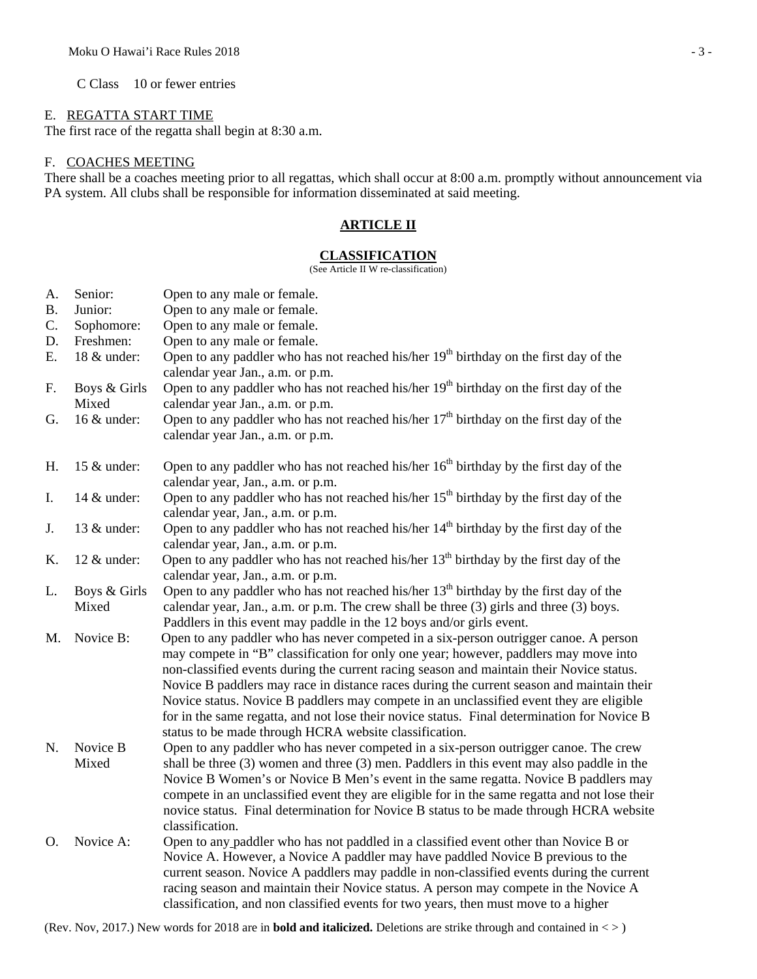C Class 10 or fewer entries

#### E. REGATTA START TIME

The first race of the regatta shall begin at 8:30 a.m.

#### F. COACHES MEETING

There shall be a coaches meeting prior to all regattas, which shall occur at 8:00 a.m. promptly without announcement via PA system. All clubs shall be responsible for information disseminated at said meeting.

### **ARTICLE II**

#### **CLASSIFICATION**

(See Article II W re-classification)

| A.        | Senior:               | Open to any male or female.                                                                                                                                                                                                                                                                                                                                                                                                                                                                                                                                                                                               |
|-----------|-----------------------|---------------------------------------------------------------------------------------------------------------------------------------------------------------------------------------------------------------------------------------------------------------------------------------------------------------------------------------------------------------------------------------------------------------------------------------------------------------------------------------------------------------------------------------------------------------------------------------------------------------------------|
| <b>B.</b> | Junior:               | Open to any male or female.                                                                                                                                                                                                                                                                                                                                                                                                                                                                                                                                                                                               |
| C.        | Sophomore:            | Open to any male or female.                                                                                                                                                                                                                                                                                                                                                                                                                                                                                                                                                                                               |
| D.        | Freshmen:             | Open to any male or female.                                                                                                                                                                                                                                                                                                                                                                                                                                                                                                                                                                                               |
| E.        | 18 & under:           | Open to any paddler who has not reached his/her 19 <sup>th</sup> birthday on the first day of the<br>calendar year Jan., a.m. or p.m.                                                                                                                                                                                                                                                                                                                                                                                                                                                                                     |
| F.        | Boys & Girls<br>Mixed | Open to any paddler who has not reached his/her $19th$ birthday on the first day of the<br>calendar year Jan., a.m. or p.m.                                                                                                                                                                                                                                                                                                                                                                                                                                                                                               |
| G.        | 16 & under:           | Open to any paddler who has not reached his/her $17th$ birthday on the first day of the<br>calendar year Jan., a.m. or p.m.                                                                                                                                                                                                                                                                                                                                                                                                                                                                                               |
| H.        | 15 & under:           | Open to any paddler who has not reached his/her $16th$ birthday by the first day of the<br>calendar year, Jan., a.m. or p.m.                                                                                                                                                                                                                                                                                                                                                                                                                                                                                              |
| I.        | 14 & under:           | Open to any paddler who has not reached his/her $15th$ birthday by the first day of the<br>calendar year, Jan., a.m. or p.m.                                                                                                                                                                                                                                                                                                                                                                                                                                                                                              |
| J.        | 13 & under:           | Open to any paddler who has not reached his/her 14 <sup>th</sup> birthday by the first day of the<br>calendar year, Jan., a.m. or p.m.                                                                                                                                                                                                                                                                                                                                                                                                                                                                                    |
| K.        | 12 & under:           | Open to any paddler who has not reached his/her $13th$ birthday by the first day of the<br>calendar year, Jan., a.m. or p.m.                                                                                                                                                                                                                                                                                                                                                                                                                                                                                              |
| L.        | Boys & Girls<br>Mixed | Open to any paddler who has not reached his/her $13th$ birthday by the first day of the<br>calendar year, Jan., a.m. or p.m. The crew shall be three (3) girls and three (3) boys.<br>Paddlers in this event may paddle in the 12 boys and/or girls event.                                                                                                                                                                                                                                                                                                                                                                |
| M.        | Novice B:             | Open to any paddler who has never competed in a six-person outrigger canoe. A person<br>may compete in "B" classification for only one year; however, paddlers may move into<br>non-classified events during the current racing season and maintain their Novice status.<br>Novice B paddlers may race in distance races during the current season and maintain their<br>Novice status. Novice B paddlers may compete in an unclassified event they are eligible<br>for in the same regatta, and not lose their novice status. Final determination for Novice B<br>status to be made through HCRA website classification. |
| N.        | Novice B<br>Mixed     | Open to any paddler who has never competed in a six-person outrigger canoe. The crew<br>shall be three $(3)$ women and three $(3)$ men. Paddlers in this event may also paddle in the<br>Novice B Women's or Novice B Men's event in the same regatta. Novice B paddlers may<br>compete in an unclassified event they are eligible for in the same regatta and not lose their<br>novice status. Final determination for Novice B status to be made through HCRA website<br>classification.                                                                                                                                |
| O.        | Novice A:             | Open to any paddler who has not paddled in a classified event other than Novice B or<br>Novice A. However, a Novice A paddler may have paddled Novice B previous to the<br>current season. Novice A paddlers may paddle in non-classified events during the current<br>racing season and maintain their Novice status. A person may compete in the Novice A<br>classification, and non classified events for two years, then must move to a higher                                                                                                                                                                        |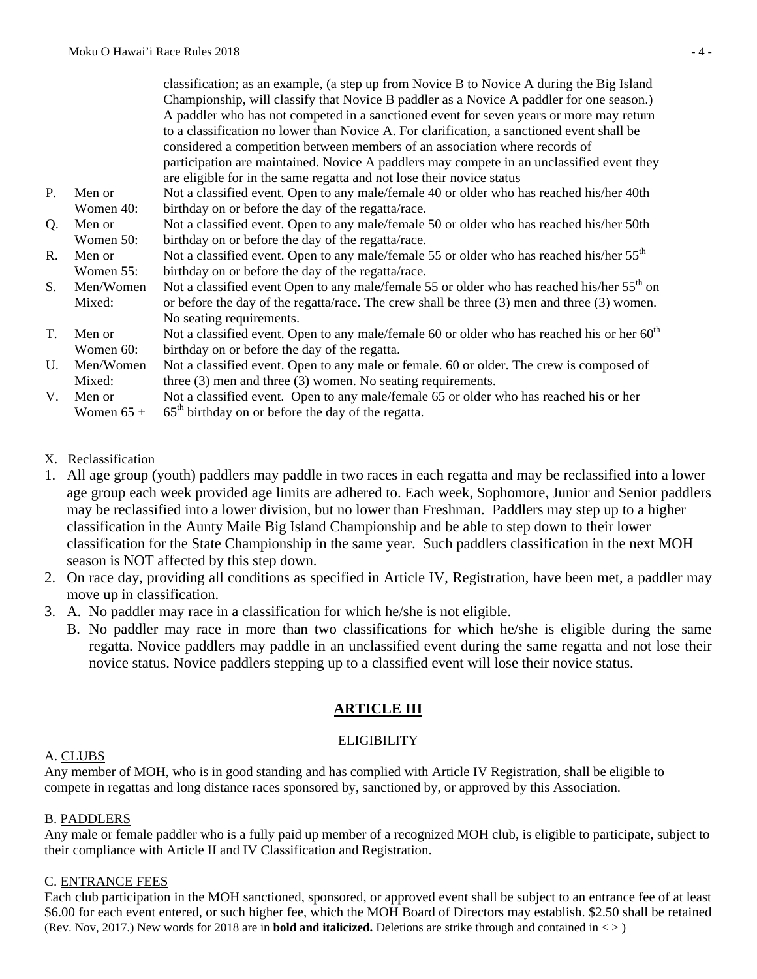classification; as an example, (a step up from Novice B to Novice A during the Big Island Championship, will classify that Novice B paddler as a Novice A paddler for one season.) A paddler who has not competed in a sanctioned event for seven years or more may return to a classification no lower than Novice A. For clarification, a sanctioned event shall be considered a competition between members of an association where records of participation are maintained. Novice A paddlers may compete in an unclassified event they are eligible for in the same regatta and not lose their novice status P. Men or Women 40: Not a classified event. Open to any male/female 40 or older who has reached his/her 40th birthday on or before the day of the regatta/race. Q. Men or Women 50: Not a classified event. Open to any male/female 50 or older who has reached his/her 50th birthday on or before the day of the regatta/race. R. Men or Women 55: Not a classified event. Open to any male/female 55 or older who has reached his/her 55<sup>th</sup> birthday on or before the day of the regatta/race. S. Men/Women Mixed: Not a classified event Open to any male/female 55 or older who has reached his/her 55<sup>th</sup> on or before the day of the regatta/race. The crew shall be three (3) men and three (3) women. No seating requirements. T. Men or Women 60: Not a classified event. Open to any male/female 60 or older who has reached his or her  $60<sup>th</sup>$ birthday on or before the day of the regatta. U. Men/Women Mixed: Not a classified event. Open to any male or female. 60 or older. The crew is composed of three (3) men and three (3) women. No seating requirements. V. Men or Women  $65 +$ Not a classified event. Open to any male/female 65 or older who has reached his or her  $65<sup>th</sup>$  birthday on or before the day of the regatta.

- X. Reclassification
- 1. All age group (youth) paddlers may paddle in two races in each regatta and may be reclassified into a lower age group each week provided age limits are adhered to. Each week, Sophomore, Junior and Senior paddlers may be reclassified into a lower division, but no lower than Freshman. Paddlers may step up to a higher classification in the Aunty Maile Big Island Championship and be able to step down to their lower classification for the State Championship in the same year. Such paddlers classification in the next MOH season is NOT affected by this step down.
- 2. On race day, providing all conditions as specified in Article IV, Registration, have been met, a paddler may move up in classification.
- 3. A. No paddler may race in a classification for which he/she is not eligible.
	- B. No paddler may race in more than two classifications for which he/she is eligible during the same regatta. Novice paddlers may paddle in an unclassified event during the same regatta and not lose their novice status. Novice paddlers stepping up to a classified event will lose their novice status.

## **ARTICLE III**

### **ELIGIBILITY**

### A. CLUBS

Any member of MOH, who is in good standing and has complied with Article IV Registration, shall be eligible to compete in regattas and long distance races sponsored by, sanctioned by, or approved by this Association.

### B. PADDLERS

Any male or female paddler who is a fully paid up member of a recognized MOH club, is eligible to participate, subject to their compliance with Article II and IV Classification and Registration.

### C. ENTRANCE FEES

(Rev. Nov, 2017.) New words for 2018 are in **bold and italicized.** Deletions are strike through and contained in < > ) Each club participation in the MOH sanctioned, sponsored, or approved event shall be subject to an entrance fee of at least \$6.00 for each event entered, or such higher fee, which the MOH Board of Directors may establish. \$2.50 shall be retained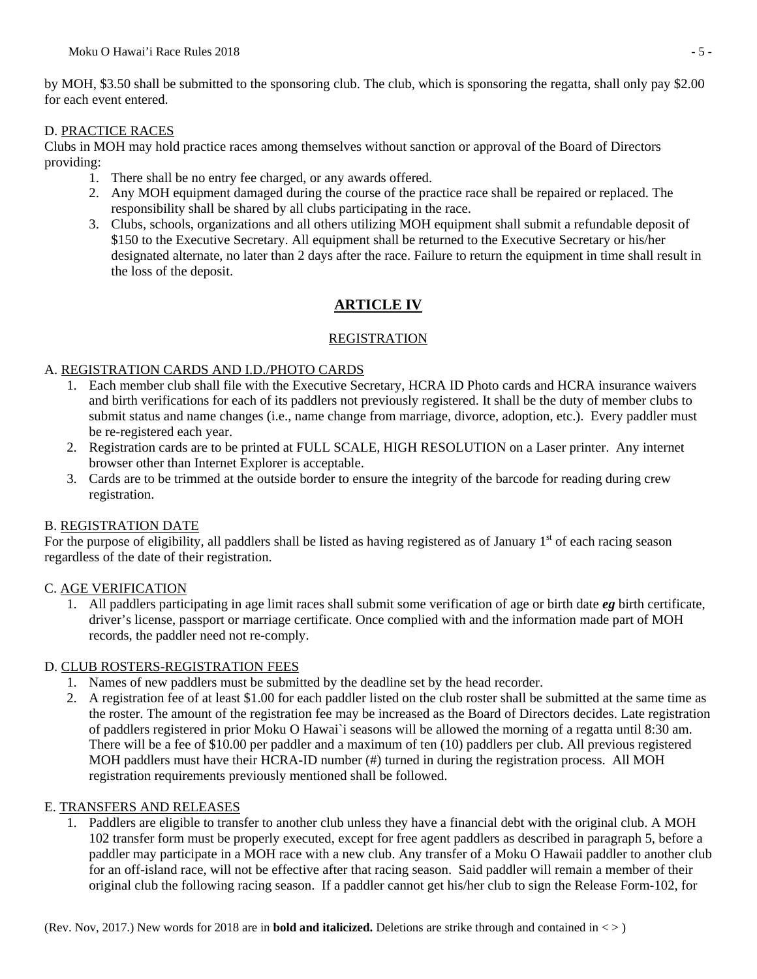by MOH, \$3.50 shall be submitted to the sponsoring club. The club, which is sponsoring the regatta, shall only pay \$2.00 for each event entered.

#### D. PRACTICE RACES

Clubs in MOH may hold practice races among themselves without sanction or approval of the Board of Directors providing:

- 1. There shall be no entry fee charged, or any awards offered.
- 2. Any MOH equipment damaged during the course of the practice race shall be repaired or replaced. The responsibility shall be shared by all clubs participating in the race.
- 3. Clubs, schools, organizations and all others utilizing MOH equipment shall submit a refundable deposit of \$150 to the Executive Secretary. All equipment shall be returned to the Executive Secretary or his/her designated alternate, no later than 2 days after the race. Failure to return the equipment in time shall result in the loss of the deposit.

## **ARTICLE IV**

### REGISTRATION

#### A. REGISTRATION CARDS AND I.D./PHOTO CARDS

- 1. Each member club shall file with the Executive Secretary, HCRA ID Photo cards and HCRA insurance waivers and birth verifications for each of its paddlers not previously registered. It shall be the duty of member clubs to submit status and name changes (i.e., name change from marriage, divorce, adoption, etc.). Every paddler must be re-registered each year.
- 2. Registration cards are to be printed at FULL SCALE, HIGH RESOLUTION on a Laser printer. Any internet browser other than Internet Explorer is acceptable.
- 3. Cards are to be trimmed at the outside border to ensure the integrity of the barcode for reading during crew registration.

### B. REGISTRATION DATE

For the purpose of eligibility, all paddlers shall be listed as having registered as of January  $1<sup>st</sup>$  of each racing season regardless of the date of their registration.

#### C. AGE VERIFICATION

1. All paddlers participating in age limit races shall submit some verification of age or birth date *eg* birth certificate, driver's license, passport or marriage certificate. Once complied with and the information made part of MOH records, the paddler need not re-comply.

#### D. CLUB ROSTERS-REGISTRATION FEES

- 1. Names of new paddlers must be submitted by the deadline set by the head recorder.
- 2. A registration fee of at least \$1.00 for each paddler listed on the club roster shall be submitted at the same time as the roster. The amount of the registration fee may be increased as the Board of Directors decides. Late registration of paddlers registered in prior Moku O Hawai`i seasons will be allowed the morning of a regatta until 8:30 am. There will be a fee of \$10.00 per paddler and a maximum of ten (10) paddlers per club. All previous registered MOH paddlers must have their HCRA-ID number (#) turned in during the registration process. All MOH registration requirements previously mentioned shall be followed.

#### E. TRANSFERS AND RELEASES

1. Paddlers are eligible to transfer to another club unless they have a financial debt with the original club. A MOH 102 transfer form must be properly executed, except for free agent paddlers as described in paragraph 5, before a paddler may participate in a MOH race with a new club. Any transfer of a Moku O Hawaii paddler to another club for an off-island race, will not be effective after that racing season. Said paddler will remain a member of their original club the following racing season.If a paddler cannot get his/her club to sign the Release Form-102, for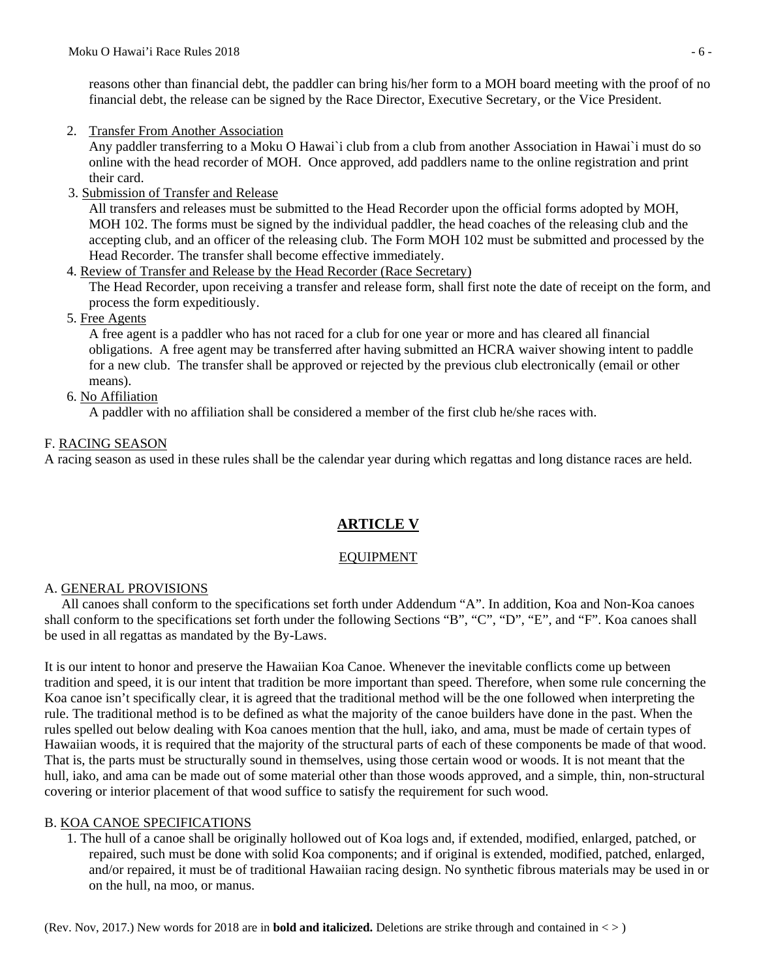reasons other than financial debt, the paddler can bring his/her form to a MOH board meeting with the proof of no financial debt, the release can be signed by the Race Director, Executive Secretary, or the Vice President.

2. Transfer From Another Association

Any paddler transferring to a Moku O Hawai`i club from a club from another Association in Hawai`i must do so online with the head recorder of MOH. Once approved, add paddlers name to the online registration and print their card.

3. Submission of Transfer and Release

All transfers and releases must be submitted to the Head Recorder upon the official forms adopted by MOH, MOH 102. The forms must be signed by the individual paddler, the head coaches of the releasing club and the accepting club, and an officer of the releasing club. The Form MOH 102 must be submitted and processed by the Head Recorder. The transfer shall become effective immediately.

4. Review of Transfer and Release by the Head Recorder (Race Secretary)

The Head Recorder, upon receiving a transfer and release form, shall first note the date of receipt on the form, and process the form expeditiously.

5. Free Agents

A free agent is a paddler who has not raced for a club for one year or more and has cleared all financial obligations. A free agent may be transferred after having submitted an HCRA waiver showing intent to paddle for a new club. The transfer shall be approved or rejected by the previous club electronically (email or other means).

#### 6. No Affiliation

A paddler with no affiliation shall be considered a member of the first club he/she races with.

### F. RACING SEASON

A racing season as used in these rules shall be the calendar year during which regattas and long distance races are held.

## **ARTICLE V**

### EQUIPMENT

#### A. GENERAL PROVISIONS

 All canoes shall conform to the specifications set forth under Addendum "A". In addition, Koa and Non-Koa canoes shall conform to the specifications set forth under the following Sections "B", "C", "D", "E", and "F". Koa canoes shall be used in all regattas as mandated by the By-Laws.

It is our intent to honor and preserve the Hawaiian Koa Canoe. Whenever the inevitable conflicts come up between tradition and speed, it is our intent that tradition be more important than speed. Therefore, when some rule concerning the Koa canoe isn't specifically clear, it is agreed that the traditional method will be the one followed when interpreting the rule. The traditional method is to be defined as what the majority of the canoe builders have done in the past. When the rules spelled out below dealing with Koa canoes mention that the hull, iako, and ama, must be made of certain types of Hawaiian woods, it is required that the majority of the structural parts of each of these components be made of that wood. That is, the parts must be structurally sound in themselves, using those certain wood or woods. It is not meant that the hull, iako, and ama can be made out of some material other than those woods approved, and a simple, thin, non-structural covering or interior placement of that wood suffice to satisfy the requirement for such wood.

### B. KOA CANOE SPECIFICATIONS

1. The hull of a canoe shall be originally hollowed out of Koa logs and, if extended, modified, enlarged, patched, or repaired, such must be done with solid Koa components; and if original is extended, modified, patched, enlarged, and/or repaired, it must be of traditional Hawaiian racing design. No synthetic fibrous materials may be used in or on the hull, na moo, or manus.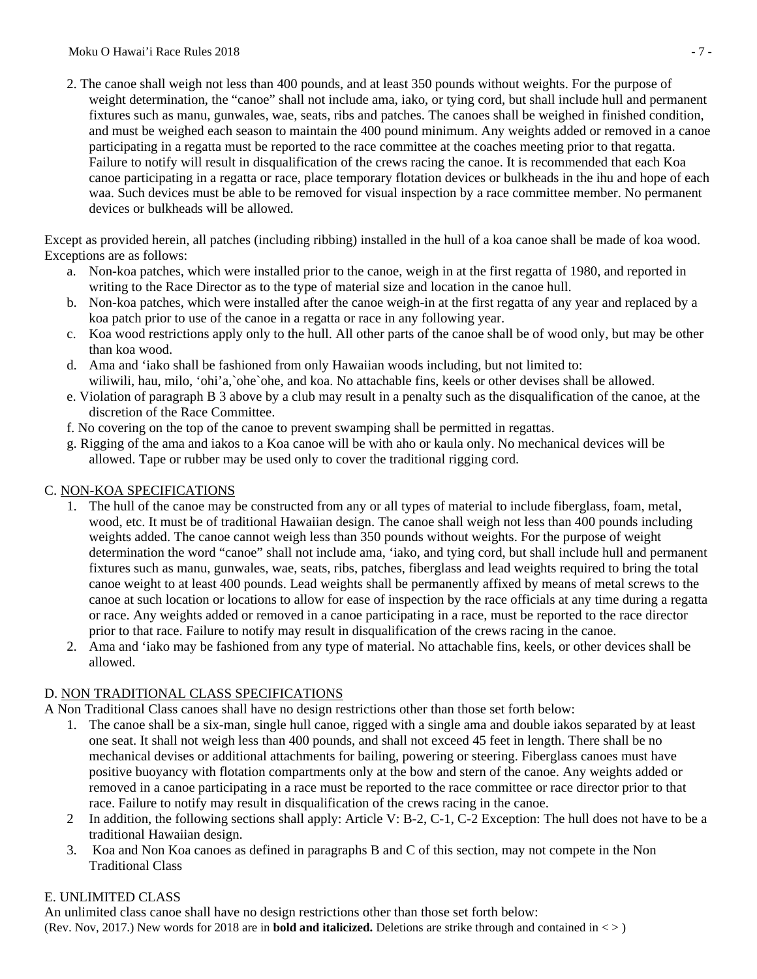2. The canoe shall weigh not less than 400 pounds, and at least 350 pounds without weights. For the purpose of weight determination, the "canoe" shall not include ama, iako, or tying cord, but shall include hull and permanent fixtures such as manu, gunwales, wae, seats, ribs and patches. The canoes shall be weighed in finished condition, and must be weighed each season to maintain the 400 pound minimum. Any weights added or removed in a canoe participating in a regatta must be reported to the race committee at the coaches meeting prior to that regatta. Failure to notify will result in disqualification of the crews racing the canoe. It is recommended that each Koa canoe participating in a regatta or race, place temporary flotation devices or bulkheads in the ihu and hope of each waa. Such devices must be able to be removed for visual inspection by a race committee member. No permanent devices or bulkheads will be allowed.

Except as provided herein, all patches (including ribbing) installed in the hull of a koa canoe shall be made of koa wood. Exceptions are as follows:

- a. Non-koa patches, which were installed prior to the canoe, weigh in at the first regatta of 1980, and reported in writing to the Race Director as to the type of material size and location in the canoe hull.
- b. Non-koa patches, which were installed after the canoe weigh-in at the first regatta of any year and replaced by a koa patch prior to use of the canoe in a regatta or race in any following year.
- c. Koa wood restrictions apply only to the hull. All other parts of the canoe shall be of wood only, but may be other than koa wood.
- d. Ama and 'iako shall be fashioned from only Hawaiian woods including, but not limited to: wiliwili, hau, milo, 'ohi'a,`ohe`ohe, and koa. No attachable fins, keels or other devises shall be allowed.
- e. Violation of paragraph B 3 above by a club may result in a penalty such as the disqualification of the canoe, at the discretion of the Race Committee.
- f. No covering on the top of the canoe to prevent swamping shall be permitted in regattas.
- g. Rigging of the ama and iakos to a Koa canoe will be with aho or kaula only. No mechanical devices will be allowed. Tape or rubber may be used only to cover the traditional rigging cord.

### C. NON-KOA SPECIFICATIONS

- 1. The hull of the canoe may be constructed from any or all types of material to include fiberglass, foam, metal, wood, etc. It must be of traditional Hawaiian design. The canoe shall weigh not less than 400 pounds including weights added. The canoe cannot weigh less than 350 pounds without weights. For the purpose of weight determination the word "canoe" shall not include ama, 'iako, and tying cord, but shall include hull and permanent fixtures such as manu, gunwales, wae, seats, ribs, patches, fiberglass and lead weights required to bring the total canoe weight to at least 400 pounds. Lead weights shall be permanently affixed by means of metal screws to the canoe at such location or locations to allow for ease of inspection by the race officials at any time during a regatta or race. Any weights added or removed in a canoe participating in a race, must be reported to the race director prior to that race. Failure to notify may result in disqualification of the crews racing in the canoe.
- 2. Ama and 'iako may be fashioned from any type of material. No attachable fins, keels, or other devices shall be allowed.

### D. NON TRADITIONAL CLASS SPECIFICATIONS

A Non Traditional Class canoes shall have no design restrictions other than those set forth below:

- 1. The canoe shall be a six-man, single hull canoe, rigged with a single ama and double iakos separated by at least one seat. It shall not weigh less than 400 pounds, and shall not exceed 45 feet in length. There shall be no mechanical devises or additional attachments for bailing, powering or steering. Fiberglass canoes must have positive buoyancy with flotation compartments only at the bow and stern of the canoe. Any weights added or removed in a canoe participating in a race must be reported to the race committee or race director prior to that race. Failure to notify may result in disqualification of the crews racing in the canoe.
- 2 In addition, the following sections shall apply: Article V: B-2, C-1, C-2 Exception: The hull does not have to be a traditional Hawaiian design.
- 3. Koa and Non Koa canoes as defined in paragraphs B and C of this section, may not compete in the Non Traditional Class

## E. UNLIMITED CLASS

(Rev. Nov, 2017.) New words for 2018 are in **bold and italicized.** Deletions are strike through and contained in < > ) An unlimited class canoe shall have no design restrictions other than those set forth below: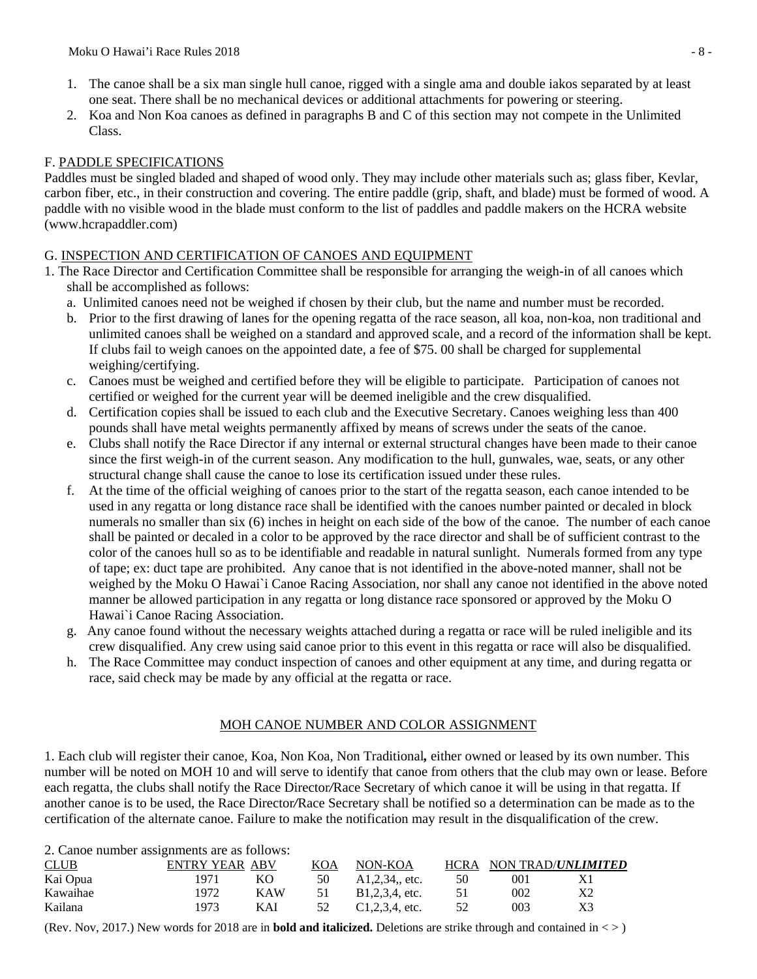- 1. The canoe shall be a six man single hull canoe, rigged with a single ama and double iakos separated by at least one seat. There shall be no mechanical devices or additional attachments for powering or steering.
- 2. Koa and Non Koa canoes as defined in paragraphs B and C of this section may not compete in the Unlimited Class.

### F. PADDLE SPECIFICATIONS

Paddles must be singled bladed and shaped of wood only. They may include other materials such as; glass fiber, Kevlar, carbon fiber, etc., in their construction and covering. The entire paddle (grip, shaft, and blade) must be formed of wood. A paddle with no visible wood in the blade must conform to the list of paddles and paddle makers on the HCRA website (www.hcrapaddler.com)

### G. INSPECTION AND CERTIFICATION OF CANOES AND EQUIPMENT

- 1. The Race Director and Certification Committee shall be responsible for arranging the weigh-in of all canoes which shall be accomplished as follows:
	- a. Unlimited canoes need not be weighed if chosen by their club, but the name and number must be recorded.
	- b. Prior to the first drawing of lanes for the opening regatta of the race season, all koa, non-koa, non traditional and unlimited canoes shall be weighed on a standard and approved scale, and a record of the information shall be kept. If clubs fail to weigh canoes on the appointed date, a fee of \$75. 00 shall be charged for supplemental weighing/certifying.
	- c. Canoes must be weighed and certified before they will be eligible to participate. Participation of canoes not certified or weighed for the current year will be deemed ineligible and the crew disqualified.
	- d. Certification copies shall be issued to each club and the Executive Secretary. Canoes weighing less than 400 pounds shall have metal weights permanently affixed by means of screws under the seats of the canoe.
	- e. Clubs shall notify the Race Director if any internal or external structural changes have been made to their canoe since the first weigh-in of the current season. Any modification to the hull, gunwales, wae, seats, or any other structural change shall cause the canoe to lose its certification issued under these rules.
	- f. At the time of the official weighing of canoes prior to the start of the regatta season, each canoe intended to be used in any regatta or long distance race shall be identified with the canoes number painted or decaled in block numerals no smaller than six (6) inches in height on each side of the bow of the canoe. The number of each canoe shall be painted or decaled in a color to be approved by the race director and shall be of sufficient contrast to the color of the canoes hull so as to be identifiable and readable in natural sunlight. Numerals formed from any type of tape; ex: duct tape are prohibited. Any canoe that is not identified in the above-noted manner, shall not be weighed by the Moku O Hawai`i Canoe Racing Association, nor shall any canoe not identified in the above noted manner be allowed participation in any regatta or long distance race sponsored or approved by the Moku O Hawai`i Canoe Racing Association.
	- g. Any canoe found without the necessary weights attached during a regatta or race will be ruled ineligible and its crew disqualified. Any crew using said canoe prior to this event in this regatta or race will also be disqualified.
	- h. The Race Committee may conduct inspection of canoes and other equipment at any time, and during regatta or race, said check may be made by any official at the regatta or race.

### MOH CANOE NUMBER AND COLOR ASSIGNMENT

1. Each club will register their canoe, Koa, Non Koa, Non Traditional*,* either owned or leased by its own number. This number will be noted on MOH 10 and will serve to identify that canoe from others that the club may own or lease. Before each regatta, the clubs shall notify the Race Director*/*Race Secretary of which canoe it will be using in that regatta. If another canoe is to be used, the Race Director*/*Race Secretary shall be notified so a determination can be made as to the certification of the alternate canoe. Failure to make the notification may result in the disqualification of the crew.

2. Canoe number assignments are as follows:

| CLUB     | ENTRY YEAR ABV |     | KOA | NON-KOA           | <b>HCRA</b> |     | NON TRAD/UNLIMITED |
|----------|----------------|-----|-----|-------------------|-------------|-----|--------------------|
| Kai Opua | 1971           | KО  | 50  | $A1,2,34$ , etc.  | 50          | 001 |                    |
| Kawaihae | 1972.          | KAW | 51  | B1,2,3,4, etc.    | 51          | 002 | Χ2                 |
| Kailana  | 1973           | KAI | 52  | $C1,2,3,4$ , etc. | 52          | 003 | X3                 |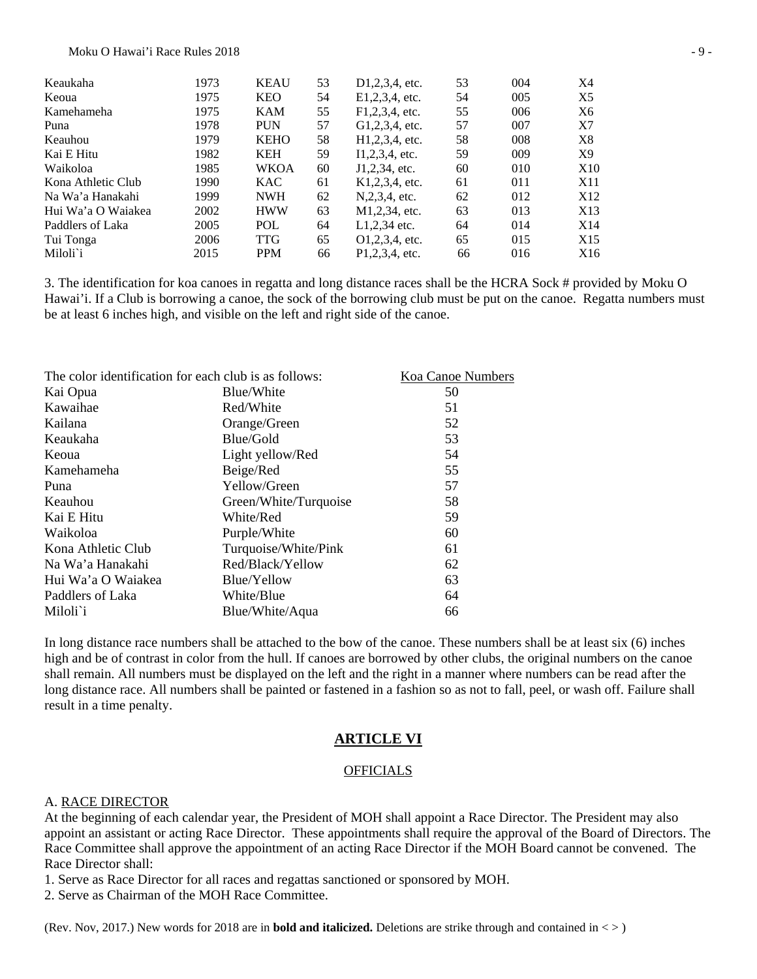| Keaukaha           | 1973 | <b>KEAU</b> | 53 | $D1,2,3,4$ , etc.              | 53 | 004 | X4              |
|--------------------|------|-------------|----|--------------------------------|----|-----|-----------------|
| Keoua              | 1975 | <b>KEO</b>  | 54 | E1,2,3,4, etc.                 | 54 | 005 | X5              |
| Kamehameha         | 1975 | KAM         | 55 | F1,2,3,4, etc.                 | 55 | 006 | X6              |
| Puna               | 1978 | <b>PUN</b>  | 57 | G1,2,3,4, etc.                 | 57 | 007 | X7              |
| Keauhou            | 1979 | <b>KEHO</b> | 58 | H <sub>1</sub> , 2, 3, 4, etc. | 58 | 008 | X8              |
| Kai E Hitu         | 1982 | <b>KEH</b>  | 59 | $I1,2,3,4$ , etc.              | 59 | 009 | X9              |
| Waikoloa           | 1985 | <b>WKOA</b> | 60 | J1,2,34, etc.                  | 60 | 010 | X <sub>10</sub> |
| Kona Athletic Club | 1990 | <b>KAC</b>  | 61 | K1,2,3,4, etc.                 | 61 | 011 | X11             |
| Na Wa'a Hanakahi   | 1999 | <b>NWH</b>  | 62 | N, 2, 3, 4, etc.               | 62 | 012 | X <sub>12</sub> |
| Hui Wa'a O Waiakea | 2002 | <b>HWW</b>  | 63 | M1,2,34, etc.                  | 63 | 013 | X13             |
| Paddlers of Laka   | 2005 | POL         | 64 | $L1,2,34$ etc.                 | 64 | 014 | X14             |
| Tui Tonga          | 2006 | <b>TTG</b>  | 65 | $Q1,2,3,4$ , etc.              | 65 | 015 | X <sub>15</sub> |
| Miloli`i           | 2015 | <b>PPM</b>  | 66 | P1.2.3.4. etc.                 | 66 | 016 | X16             |
|                    |      |             |    |                                |    |     |                 |

3. The identification for koa canoes in regatta and long distance races shall be the HCRA Sock # provided by Moku O Hawai'i. If a Club is borrowing a canoe, the sock of the borrowing club must be put on the canoe. Regatta numbers must be at least 6 inches high, and visible on the left and right side of the canoe.

| The color identification for each club is as follows: | Koa Canoe Numbers     |    |
|-------------------------------------------------------|-----------------------|----|
| Kai Opua                                              | Blue/White            | 50 |
| Kawaihae                                              | Red/White             | 51 |
| Kailana                                               | Orange/Green          | 52 |
| Keaukaha                                              | Blue/Gold             | 53 |
| Keoua                                                 | Light yellow/Red      | 54 |
| Kamehameha                                            | Beige/Red             | 55 |
| Puna                                                  | Yellow/Green          | 57 |
| Keauhou                                               | Green/White/Turquoise | 58 |
| Kai E Hitu                                            | White/Red             | 59 |
| Waikoloa                                              | Purple/White          | 60 |
| Kona Athletic Club                                    | Turquoise/White/Pink  | 61 |
| Na Wa'a Hanakahi                                      | Red/Black/Yellow      | 62 |
| Hui Wa'a O Waiakea                                    | Blue/Yellow           | 63 |
| Paddlers of Laka                                      | White/Blue            | 64 |
| Miloli`i                                              | Blue/White/Aqua       | 66 |
|                                                       |                       |    |

In long distance race numbers shall be attached to the bow of the canoe. These numbers shall be at least six (6) inches high and be of contrast in color from the hull. If canoes are borrowed by other clubs, the original numbers on the canoe shall remain. All numbers must be displayed on the left and the right in a manner where numbers can be read after the long distance race. All numbers shall be painted or fastened in a fashion so as not to fall, peel, or wash off. Failure shall result in a time penalty.

#### **ARTICLE VI**

#### **OFFICIALS**

#### A. RACE DIRECTOR

At the beginning of each calendar year, the President of MOH shall appoint a Race Director. The President may also appoint an assistant or acting Race Director. These appointments shall require the approval of the Board of Directors. The Race Committee shall approve the appointment of an acting Race Director if the MOH Board cannot be convened. The Race Director shall:

1. Serve as Race Director for all races and regattas sanctioned or sponsored by MOH.

2. Serve as Chairman of the MOH Race Committee.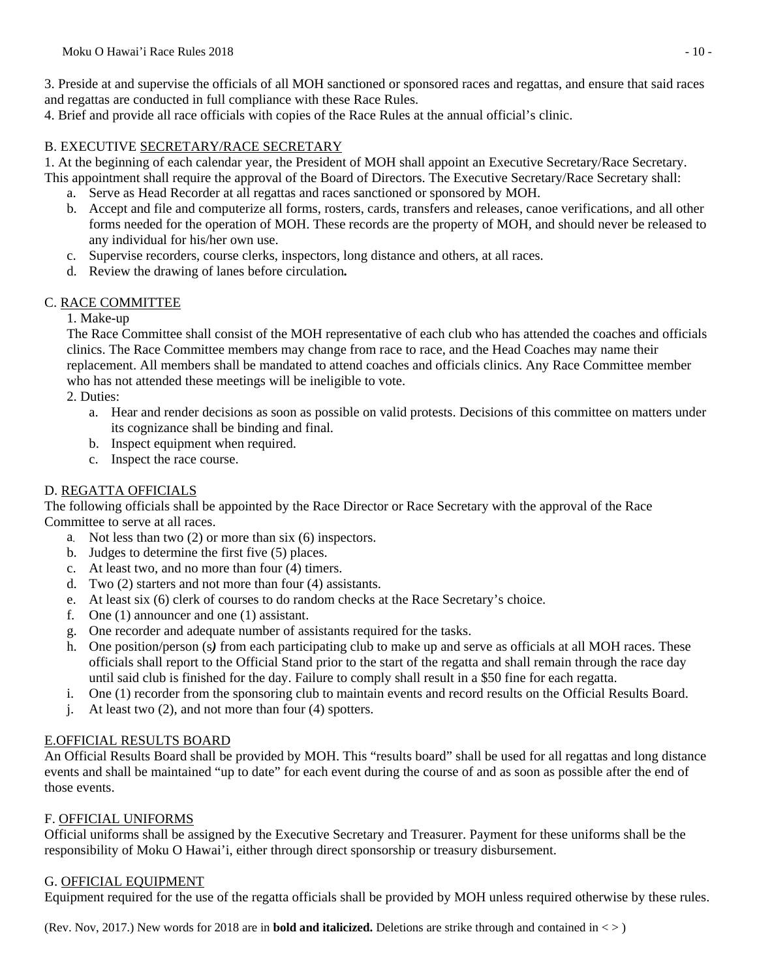3. Preside at and supervise the officials of all MOH sanctioned or sponsored races and regattas, and ensure that said races and regattas are conducted in full compliance with these Race Rules.

4. Brief and provide all race officials with copies of the Race Rules at the annual official's clinic.

### B. EXECUTIVE SECRETARY/RACE SECRETARY

1. At the beginning of each calendar year, the President of MOH shall appoint an Executive Secretary/Race Secretary. This appointment shall require the approval of the Board of Directors. The Executive Secretary/Race Secretary shall:

- a. Serve as Head Recorder at all regattas and races sanctioned or sponsored by MOH.
- b. Accept and file and computerize all forms, rosters, cards, transfers and releases, canoe verifications, and all other forms needed for the operation of MOH. These records are the property of MOH, and should never be released to any individual for his/her own use.
- c. Supervise recorders, course clerks, inspectors, long distance and others, at all races.
- d. Review the drawing of lanes before circulation*.*

## C. RACE COMMITTEE

### 1. Make-up

The Race Committee shall consist of the MOH representative of each club who has attended the coaches and officials clinics. The Race Committee members may change from race to race, and the Head Coaches may name their replacement. All members shall be mandated to attend coaches and officials clinics. Any Race Committee member who has not attended these meetings will be ineligible to vote.

2. Duties:

- a. Hear and render decisions as soon as possible on valid protests. Decisions of this committee on matters under its cognizance shall be binding and final.
- b. Inspect equipment when required.
- c. Inspect the race course.

## D. REGATTA OFFICIALS

The following officials shall be appointed by the Race Director or Race Secretary with the approval of the Race Committee to serve at all races.

- a. Not less than two (2) or more than six (6) inspectors.
- b. Judges to determine the first five (5) places.
- c. At least two, and no more than four (4) timers.
- d. Two (2) starters and not more than four (4) assistants.
- e. At least six (6) clerk of courses to do random checks at the Race Secretary's choice.
- f. One (1) announcer and one (1) assistant.
- g. One recorder and adequate number of assistants required for the tasks.
- h. One position/person (s*)* from each participating club to make up and serve as officials at all MOH races. These officials shall report to the Official Stand prior to the start of the regatta and shall remain through the race day until said club is finished for the day. Failure to comply shall result in a \$50 fine for each regatta.
- i. One (1) recorder from the sponsoring club to maintain events and record results on the Official Results Board.
- j. At least two (2), and not more than four (4) spotters.

### E.OFFICIAL RESULTS BOARD

An Official Results Board shall be provided by MOH. This "results board" shall be used for all regattas and long distance events and shall be maintained "up to date" for each event during the course of and as soon as possible after the end of those events.

## F. OFFICIAL UNIFORMS

Official uniforms shall be assigned by the Executive Secretary and Treasurer. Payment for these uniforms shall be the responsibility of Moku O Hawai'i, either through direct sponsorship or treasury disbursement.

### G. OFFICIAL EQUIPMENT

Equipment required for the use of the regatta officials shall be provided by MOH unless required otherwise by these rules.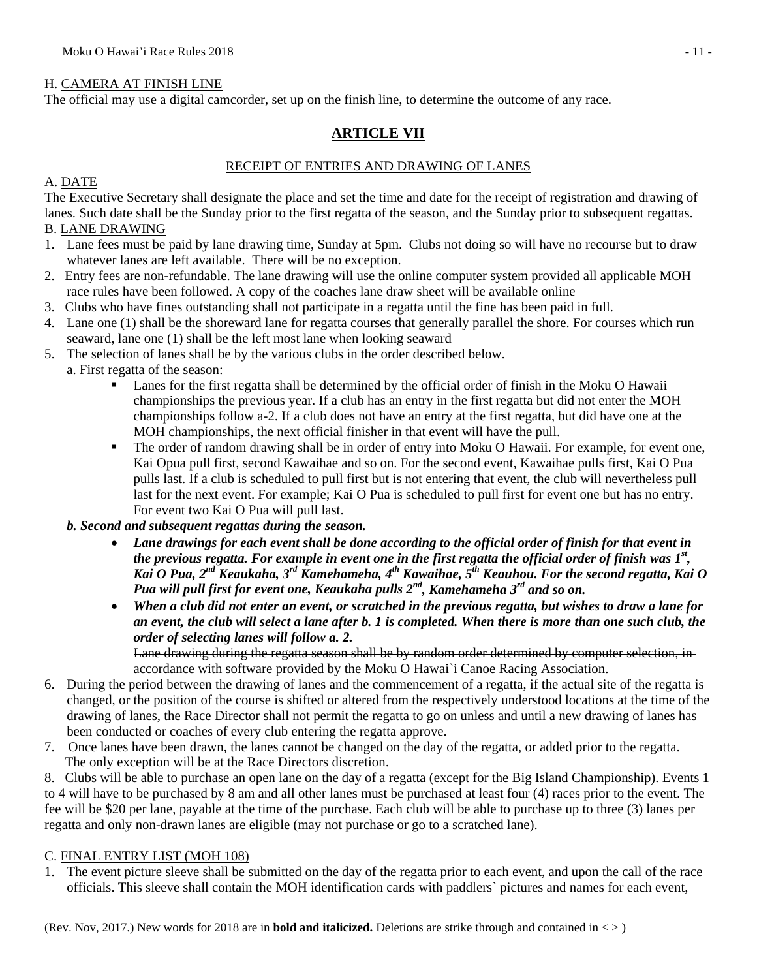### H. CAMERA AT FINISH LINE

The official may use a digital camcorder, set up on the finish line, to determine the outcome of any race.

## **ARTICLE VII**

#### RECEIPT OF ENTRIES AND DRAWING OF LANES

#### A. DATE

The Executive Secretary shall designate the place and set the time and date for the receipt of registration and drawing of lanes. Such date shall be the Sunday prior to the first regatta of the season, and the Sunday prior to subsequent regattas.

#### B. LANE DRAWING

- 1. Lane fees must be paid by lane drawing time, Sunday at 5pm. Clubs not doing so will have no recourse but to draw whatever lanes are left available. There will be no exception.
- 2. Entry fees are non*-*refundable. The lane drawing will use the online computer system provided all applicable MOH race rules have been followed. A copy of the coaches lane draw sheet will be available online
- 3. Clubs who have fines outstanding shall not participate in a regatta until the fine has been paid in full.
- 4. Lane one (1) shall be the shoreward lane for regatta courses that generally parallel the shore. For courses which run seaward, lane one (1) shall be the left most lane when looking seaward
- 5. The selection of lanes shall be by the various clubs in the order described below.
	- a. First regatta of the season:
		- Lanes for the first regatta shall be determined by the official order of finish in the Moku O Hawaii championships the previous year. If a club has an entry in the first regatta but did not enter the MOH championships follow a-2. If a club does not have an entry at the first regatta, but did have one at the MOH championships, the next official finisher in that event will have the pull.
		- The order of random drawing shall be in order of entry into Moku O Hawaii. For example, for event one, Kai Opua pull first, second Kawaihae and so on. For the second event, Kawaihae pulls first, Kai O Pua pulls last. If a club is scheduled to pull first but is not entering that event, the club will nevertheless pull last for the next event. For example; Kai O Pua is scheduled to pull first for event one but has no entry. For event two Kai O Pua will pull last.

### *b. Second and subsequent regattas during the season.*

- *Lane drawings for each event shall be done according to the official order of finish for that event in the previous regatta. For example in event one in the first regatta the official order of finish was 1st , Kai O Pua, 2nd Keaukaha, 3rd Kamehameha, 4th Kawaihae, 5th Keauhou. For the second regatta, Kai O Pua will pull first for event one, Keaukaha pulls 2nd, Kamehameha 3rd and so on.*
- *When a club did not enter an event, or scratched in the previous regatta, but wishes to draw a lane for an event, the club will select a lane after b. 1 is completed. When there is more than one such club, the order of selecting lanes will follow a. 2.*

Lane drawing during the regatta season shall be by random order determined by computer selection, in accordance with software provided by the Moku O Hawai`i Canoe Racing Association.

- 6. During the period between the drawing of lanes and the commencement of a regatta, if the actual site of the regatta is changed, or the position of the course is shifted or altered from the respectively understood locations at the time of the drawing of lanes, the Race Director shall not permit the regatta to go on unless and until a new drawing of lanes has been conducted or coaches of every club entering the regatta approve.
- 7. Once lanes have been drawn, the lanes cannot be changed on the day of the regatta, or added prior to the regatta. The only exception will be at the Race Directors discretion.

8. Clubs will be able to purchase an open lane on the day of a regatta (except for the Big Island Championship). Events 1 to 4 will have to be purchased by 8 am and all other lanes must be purchased at least four (4) races prior to the event. The fee will be \$20 per lane, payable at the time of the purchase. Each club will be able to purchase up to three (3) lanes per regatta and only non-drawn lanes are eligible (may not purchase or go to a scratched lane).

### C. FINAL ENTRY LIST (MOH 108)

1. The event picture sleeve shall be submitted on the day of the regatta prior to each event, and upon the call of the race officials. This sleeve shall contain the MOH identification cards with paddlers` pictures and names for each event,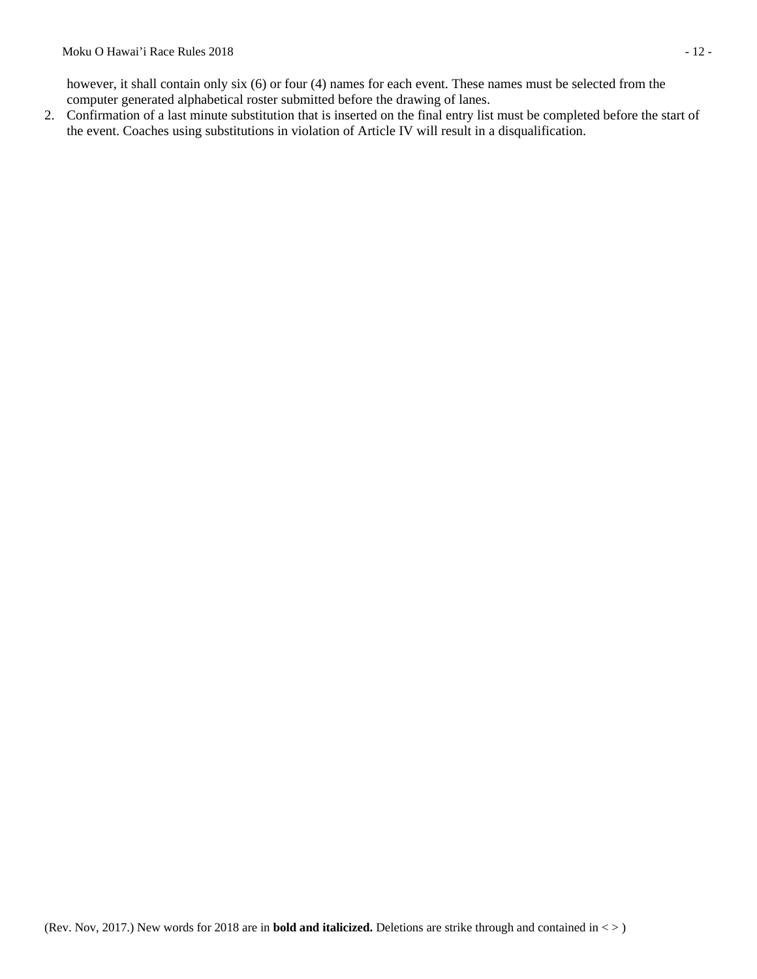however, it shall contain only six (6) or four (4) names for each event. These names must be selected from the computer generated alphabetical roster submitted before the drawing of lanes.

2. Confirmation of a last minute substitution that is inserted on the final entry list must be completed before the start of the event. Coaches using substitutions in violation of Article IV will result in a disqualification.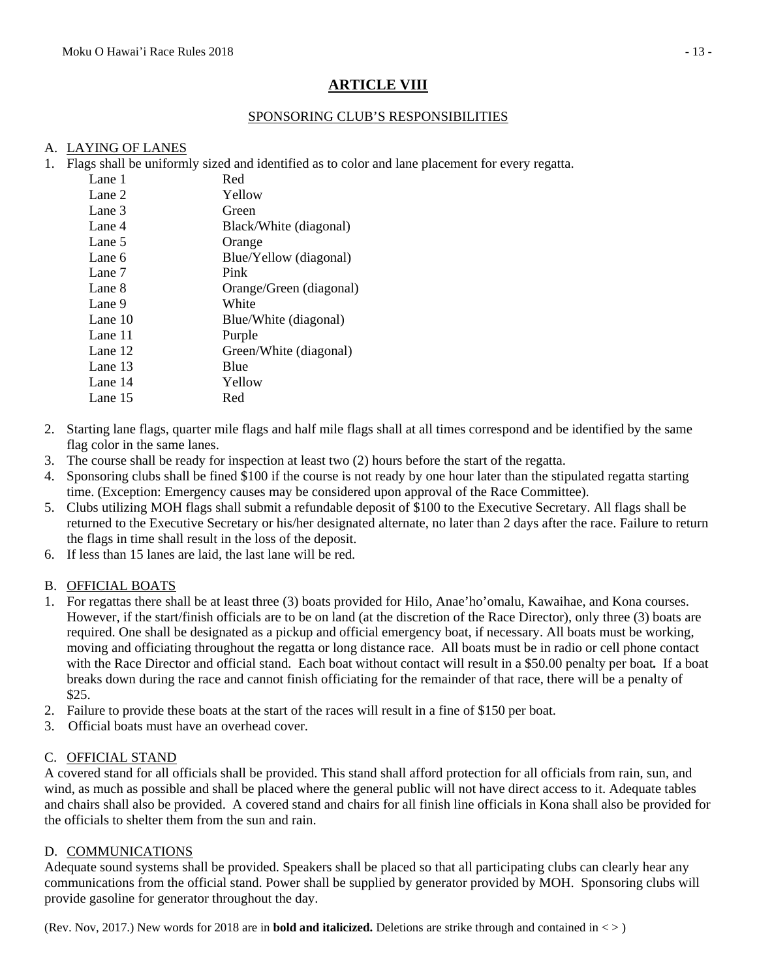# **ARTICLE VIII**

### SPONSORING CLUB'S RESPONSIBILITIES

#### A. LAYING OF LANES

1. Flags shall be uniformly sized and identified as to color and lane placement for every regatta.

| Lane 1  | Red                     |
|---------|-------------------------|
| Lane 2  | Yellow                  |
| Lane 3  | Green                   |
| Lane 4  | Black/White (diagonal)  |
| Lane 5  | Orange                  |
| Lane 6  | Blue/Yellow (diagonal)  |
| Lane 7  | Pink                    |
| Lane 8  | Orange/Green (diagonal) |
| Lane 9  | White                   |
| Lane 10 | Blue/White (diagonal)   |
| Lane 11 | Purple                  |
| Lane 12 | Green/White (diagonal)  |
| Lane 13 | Blue                    |
| Lane 14 | Yellow                  |
| Lane 15 | Red                     |
|         |                         |

- 2. Starting lane flags, quarter mile flags and half mile flags shall at all times correspond and be identified by the same flag color in the same lanes.
- 3. The course shall be ready for inspection at least two (2) hours before the start of the regatta.
- 4. Sponsoring clubs shall be fined \$100 if the course is not ready by one hour later than the stipulated regatta starting time. (Exception: Emergency causes may be considered upon approval of the Race Committee).
- 5. Clubs utilizing MOH flags shall submit a refundable deposit of \$100 to the Executive Secretary. All flags shall be returned to the Executive Secretary or his/her designated alternate, no later than 2 days after the race. Failure to return the flags in time shall result in the loss of the deposit.
- 6. If less than 15 lanes are laid, the last lane will be red.

### B. OFFICIAL BOATS

- 1. For regattas there shall be at least three (3) boats provided for Hilo, Anae'ho'omalu, Kawaihae, and Kona courses. However, if the start/finish officials are to be on land (at the discretion of the Race Director), only three (3) boats are required. One shall be designated as a pickup and official emergency boat, if necessary. All boats must be working, moving and officiating throughout the regatta or long distance race. All boats must be in radio or cell phone contact with the Race Director and official stand. Each boat without contact will result in a \$50.00 penalty per boat*.* If a boat breaks down during the race and cannot finish officiating for the remainder of that race, there will be a penalty of \$25.
- 2. Failure to provide these boats at the start of the races will result in a fine of \$150 per boat.
- 3. Official boats must have an overhead cover.

## C. OFFICIAL STAND

A covered stand for all officials shall be provided. This stand shall afford protection for all officials from rain, sun, and wind, as much as possible and shall be placed where the general public will not have direct access to it. Adequate tables and chairs shall also be provided. A covered stand and chairs for all finish line officials in Kona shall also be provided for the officials to shelter them from the sun and rain.

### D. COMMUNICATIONS

Adequate sound systems shall be provided. Speakers shall be placed so that all participating clubs can clearly hear any communications from the official stand. Power shall be supplied by generator provided by MOH. Sponsoring clubs will provide gasoline for generator throughout the day.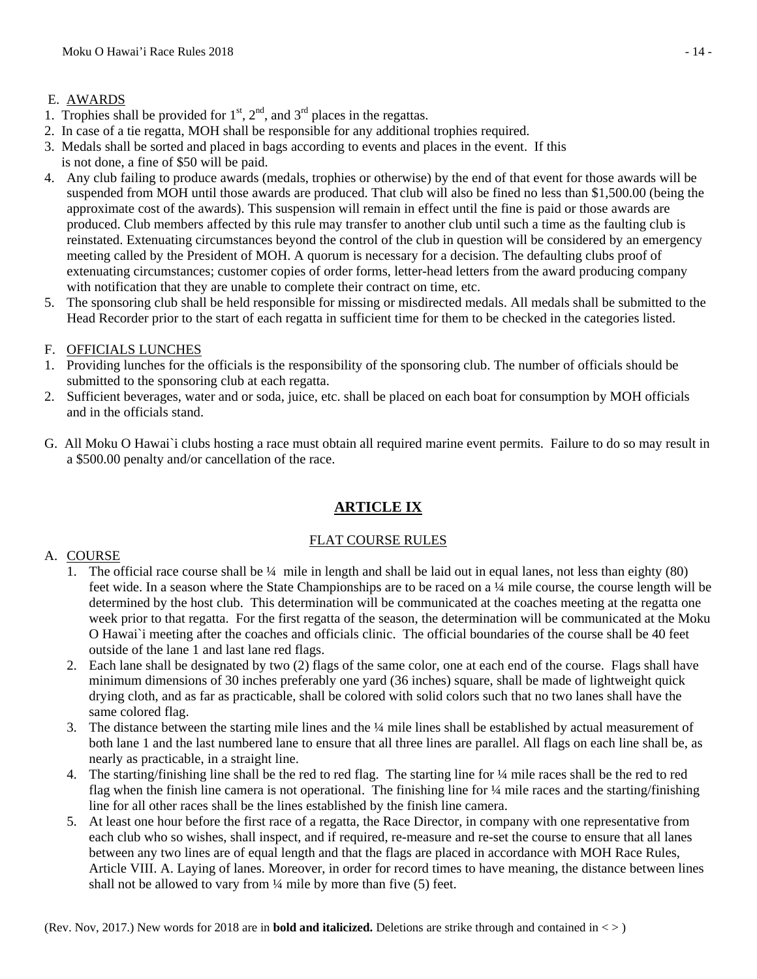### E. AWARDS

- 1. Trophies shall be provided for  $1<sup>st</sup>$ ,  $2<sup>nd</sup>$ , and  $3<sup>rd</sup>$  places in the regattas.
- 2. In case of a tie regatta, MOH shall be responsible for any additional trophies required.
- 3. Medals shall be sorted and placed in bags according to events and places in the event. If this
- is not done, a fine of \$50 will be paid.
- 4. Any club failing to produce awards (medals, trophies or otherwise) by the end of that event for those awards will be suspended from MOH until those awards are produced. That club will also be fined no less than \$1,500.00 (being the approximate cost of the awards). This suspension will remain in effect until the fine is paid or those awards are produced. Club members affected by this rule may transfer to another club until such a time as the faulting club is reinstated. Extenuating circumstances beyond the control of the club in question will be considered by an emergency meeting called by the President of MOH. A quorum is necessary for a decision. The defaulting clubs proof of extenuating circumstances; customer copies of order forms, letter-head letters from the award producing company with notification that they are unable to complete their contract on time, etc.
- 5. The sponsoring club shall be held responsible for missing or misdirected medals. All medals shall be submitted to the Head Recorder prior to the start of each regatta in sufficient time for them to be checked in the categories listed.
- F. OFFICIALS LUNCHES
- 1. Providing lunches for the officials is the responsibility of the sponsoring club. The number of officials should be submitted to the sponsoring club at each regatta.
- 2. Sufficient beverages, water and or soda, juice, etc. shall be placed on each boat for consumption by MOH officials and in the officials stand.
- G. All Moku O Hawai`i clubs hosting a race must obtain all required marine event permits. Failure to do so may result in a \$500.00 penalty and/or cancellation of the race.

## **ARTICLE IX**

### FLAT COURSE RULES

### A. COURSE

- 1. The official race course shall be ¼ mile in length and shall be laid out in equal lanes, not less than eighty (80) feet wide. In a season where the State Championships are to be raced on a ¼ mile course, the course length will be determined by the host club. This determination will be communicated at the coaches meeting at the regatta one week prior to that regatta. For the first regatta of the season, the determination will be communicated at the Moku O Hawai`i meeting after the coaches and officials clinic. The official boundaries of the course shall be 40 feet outside of the lane 1 and last lane red flags.
- 2. Each lane shall be designated by two (2) flags of the same color, one at each end of the course. Flags shall have minimum dimensions of 30 inches preferably one yard (36 inches) square, shall be made of lightweight quick drying cloth, and as far as practicable, shall be colored with solid colors such that no two lanes shall have the same colored flag.
- 3. The distance between the starting mile lines and the ¼ mile lines shall be established by actual measurement of both lane 1 and the last numbered lane to ensure that all three lines are parallel. All flags on each line shall be, as nearly as practicable, in a straight line.
- 4. The starting/finishing line shall be the red to red flag. The starting line for ¼ mile races shall be the red to red flag when the finish line camera is not operational. The finishing line for ¼ mile races and the starting/finishing line for all other races shall be the lines established by the finish line camera.
- 5. At least one hour before the first race of a regatta, the Race Director, in company with one representative from each club who so wishes, shall inspect, and if required, re-measure and re-set the course to ensure that all lanes between any two lines are of equal length and that the flags are placed in accordance with MOH Race Rules, Article VIII. A. Laying of lanes. Moreover, in order for record times to have meaning, the distance between lines shall not be allowed to vary from ¼ mile by more than five (5) feet.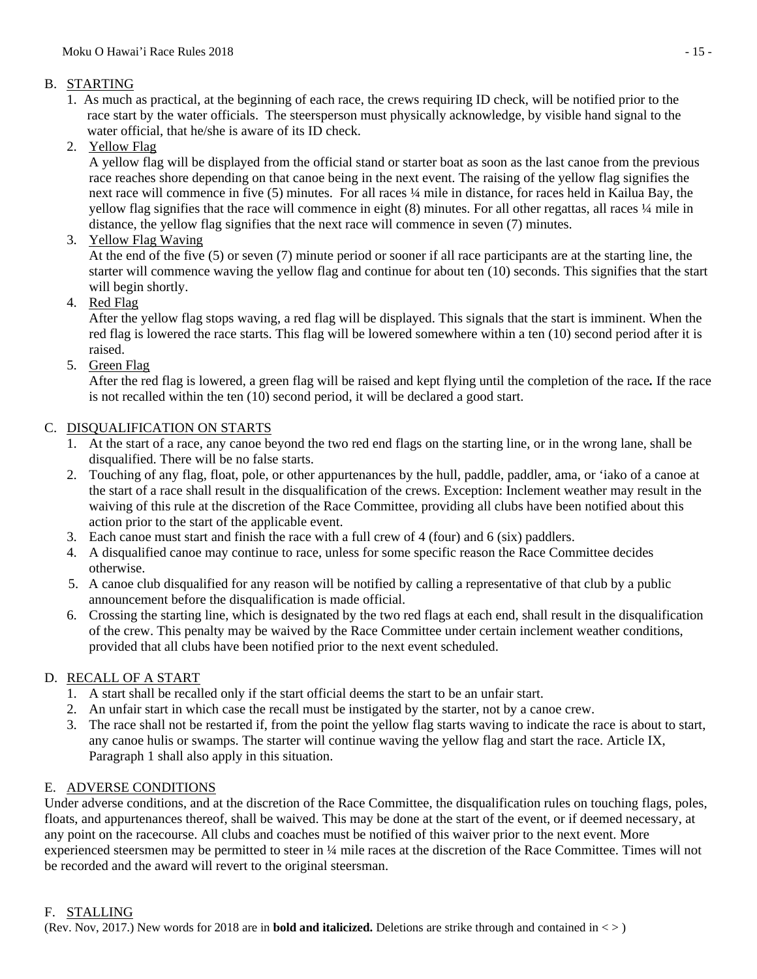### B. STARTING

- 1. As much as practical, at the beginning of each race, the crews requiring ID check, will be notified prior to the race start by the water officials. The steersperson must physically acknowledge, by visible hand signal to the water official, that he/she is aware of its ID check.
- 2. Yellow Flag

A yellow flag will be displayed from the official stand or starter boat as soon as the last canoe from the previous race reaches shore depending on that canoe being in the next event. The raising of the yellow flag signifies the next race will commence in five (5) minutes. For all races  $\frac{1}{4}$  mile in distance, for races held in Kailua Bay, the yellow flag signifies that the race will commence in eight (8) minutes. For all other regattas, all races ¼ mile in distance, the yellow flag signifies that the next race will commence in seven (7) minutes.

3. Yellow Flag Waving

At the end of the five (5) or seven (7) minute period or sooner if all race participants are at the starting line, the starter will commence waving the yellow flag and continue for about ten (10) seconds. This signifies that the start will begin shortly.

4. Red Flag

After the yellow flag stops waving, a red flag will be displayed. This signals that the start is imminent. When the red flag is lowered the race starts. This flag will be lowered somewhere within a ten (10) second period after it is raised.

5. Green Flag

After the red flag is lowered, a green flag will be raised and kept flying until the completion of the race*.* If the race is not recalled within the ten (10) second period, it will be declared a good start.

## C. DISQUALIFICATION ON STARTS

- 1. At the start of a race, any canoe beyond the two red end flags on the starting line, or in the wrong lane, shall be disqualified. There will be no false starts.
- 2. Touching of any flag, float, pole, or other appurtenances by the hull, paddle, paddler, ama, or 'iako of a canoe at the start of a race shall result in the disqualification of the crews. Exception: Inclement weather may result in the waiving of this rule at the discretion of the Race Committee, providing all clubs have been notified about this action prior to the start of the applicable event.
- 3. Each canoe must start and finish the race with a full crew of 4 (four) and 6 (six) paddlers.
- 4. A disqualified canoe may continue to race, unless for some specific reason the Race Committee decides otherwise.
- 5. A canoe club disqualified for any reason will be notified by calling a representative of that club by a public announcement before the disqualification is made official.
- 6. Crossing the starting line, which is designated by the two red flags at each end, shall result in the disqualification of the crew. This penalty may be waived by the Race Committee under certain inclement weather conditions, provided that all clubs have been notified prior to the next event scheduled.

## D. RECALL OF A START

- 1. A start shall be recalled only if the start official deems the start to be an unfair start.
- 2. An unfair start in which case the recall must be instigated by the starter, not by a canoe crew.
- 3. The race shall not be restarted if, from the point the yellow flag starts waving to indicate the race is about to start, any canoe hulis or swamps. The starter will continue waving the yellow flag and start the race. Article IX, Paragraph 1 shall also apply in this situation.

## E. ADVERSE CONDITIONS

Under adverse conditions, and at the discretion of the Race Committee, the disqualification rules on touching flags, poles, floats, and appurtenances thereof, shall be waived. This may be done at the start of the event, or if deemed necessary, at any point on the racecourse. All clubs and coaches must be notified of this waiver prior to the next event. More experienced steersmen may be permitted to steer in ¼ mile races at the discretion of the Race Committee. Times will not be recorded and the award will revert to the original steersman.

### F. STALLING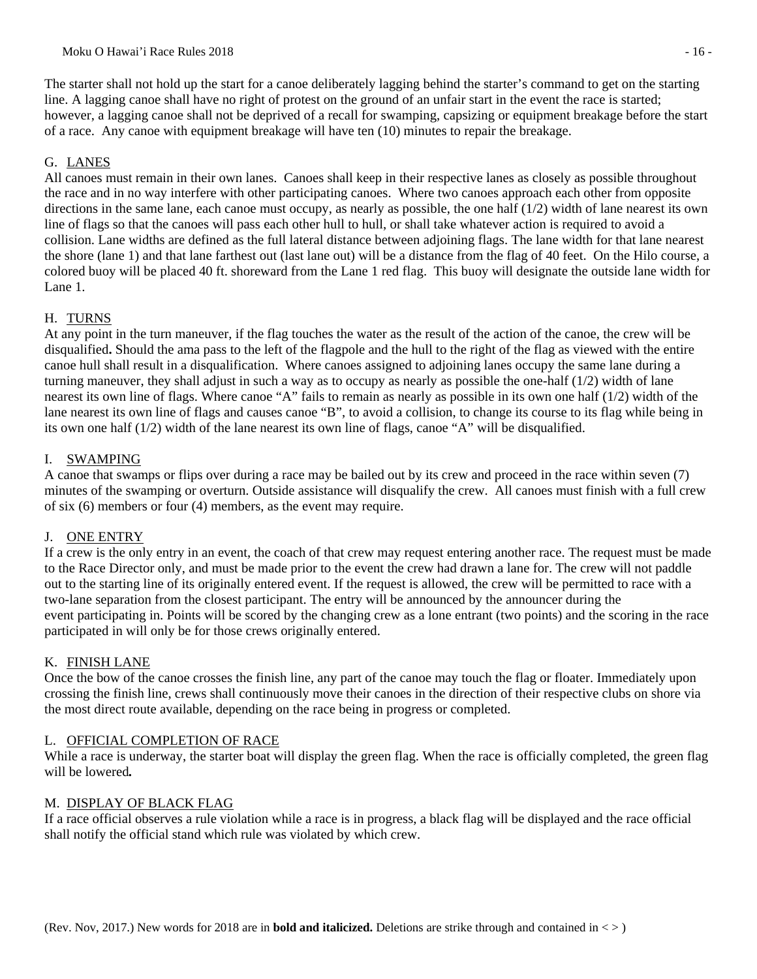The starter shall not hold up the start for a canoe deliberately lagging behind the starter's command to get on the starting line. A lagging canoe shall have no right of protest on the ground of an unfair start in the event the race is started; however, a lagging canoe shall not be deprived of a recall for swamping, capsizing or equipment breakage before the start of a race. Any canoe with equipment breakage will have ten (10) minutes to repair the breakage.

### G. LANES

All canoes must remain in their own lanes. Canoes shall keep in their respective lanes as closely as possible throughout the race and in no way interfere with other participating canoes. Where two canoes approach each other from opposite directions in the same lane, each canoe must occupy, as nearly as possible, the one half (1/2) width of lane nearest its own line of flags so that the canoes will pass each other hull to hull, or shall take whatever action is required to avoid a collision. Lane widths are defined as the full lateral distance between adjoining flags. The lane width for that lane nearest the shore (lane 1) and that lane farthest out (last lane out) will be a distance from the flag of 40 feet. On the Hilo course, a colored buoy will be placed 40 ft. shoreward from the Lane 1 red flag. This buoy will designate the outside lane width for Lane 1.

### H. TURNS

At any point in the turn maneuver, if the flag touches the water as the result of the action of the canoe, the crew will be disqualified**.** Should the ama pass to the left of the flagpole and the hull to the right of the flag as viewed with the entire canoe hull shall result in a disqualification. Where canoes assigned to adjoining lanes occupy the same lane during a turning maneuver, they shall adjust in such a way as to occupy as nearly as possible the one-half (1/2) width of lane nearest its own line of flags. Where canoe "A" fails to remain as nearly as possible in its own one half (1/2) width of the lane nearest its own line of flags and causes canoe "B", to avoid a collision, to change its course to its flag while being in its own one half (1/2) width of the lane nearest its own line of flags, canoe "A" will be disqualified.

### I. SWAMPING

A canoe that swamps or flips over during a race may be bailed out by its crew and proceed in the race within seven (7) minutes of the swamping or overturn. Outside assistance will disqualify the crew. All canoes must finish with a full crew of six (6) members or four (4) members, as the event may require.

### J. ONE ENTRY

If a crew is the only entry in an event, the coach of that crew may request entering another race. The request must be made to the Race Director only, and must be made prior to the event the crew had drawn a lane for. The crew will not paddle out to the starting line of its originally entered event. If the request is allowed, the crew will be permitted to race with a two-lane separation from the closest participant. The entry will be announced by the announcer during the event participating in. Points will be scored by the changing crew as a lone entrant (two points) and the scoring in the race participated in will only be for those crews originally entered.

## K. FINISH LANE

Once the bow of the canoe crosses the finish line, any part of the canoe may touch the flag or floater. Immediately upon crossing the finish line, crews shall continuously move their canoes in the direction of their respective clubs on shore via the most direct route available, depending on the race being in progress or completed.

### L. OFFICIAL COMPLETION OF RACE

While a race is underway, the starter boat will display the green flag. When the race is officially completed, the green flag will be lowered*.* 

### M. DISPLAY OF BLACK FLAG

If a race official observes a rule violation while a race is in progress, a black flag will be displayed and the race official shall notify the official stand which rule was violated by which crew.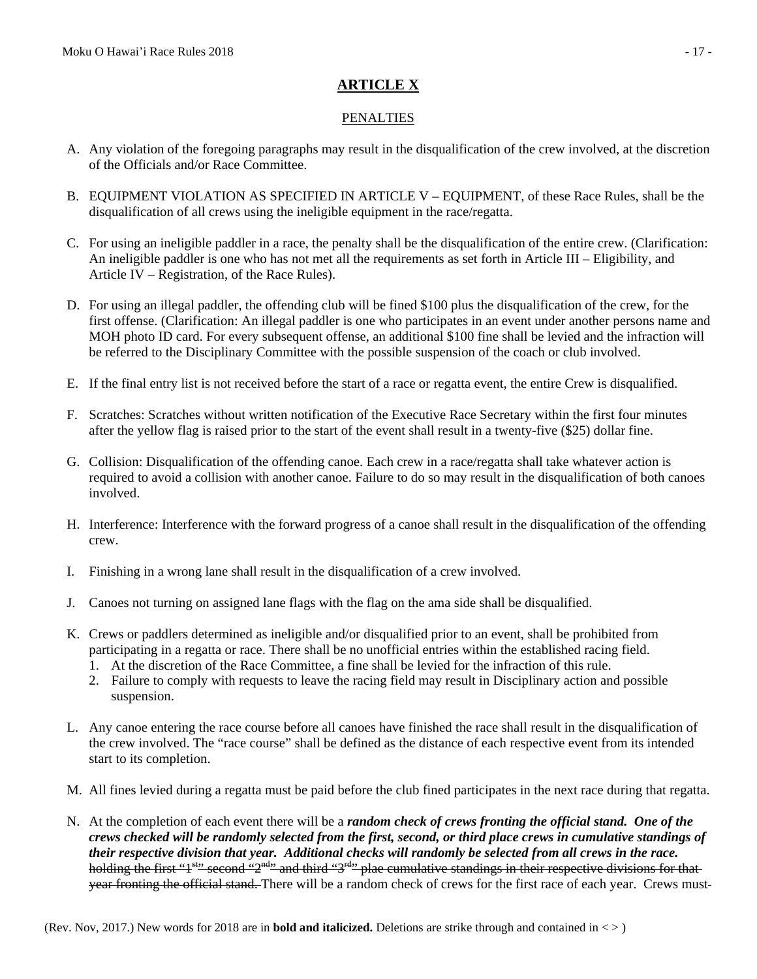# **ARTICLE X**

#### PENALTIES

- A. Any violation of the foregoing paragraphs may result in the disqualification of the crew involved, at the discretion of the Officials and/or Race Committee.
- B. EQUIPMENT VIOLATION AS SPECIFIED IN ARTICLE V EQUIPMENT, of these Race Rules, shall be the disqualification of all crews using the ineligible equipment in the race/regatta.
- C. For using an ineligible paddler in a race, the penalty shall be the disqualification of the entire crew. (Clarification: An ineligible paddler is one who has not met all the requirements as set forth in Article III – Eligibility, and Article IV – Registration, of the Race Rules).
- D. For using an illegal paddler, the offending club will be fined \$100 plus the disqualification of the crew, for the first offense. (Clarification: An illegal paddler is one who participates in an event under another persons name and MOH photo ID card. For every subsequent offense, an additional \$100 fine shall be levied and the infraction will be referred to the Disciplinary Committee with the possible suspension of the coach or club involved.
- E. If the final entry list is not received before the start of a race or regatta event, the entire Crew is disqualified.
- F. Scratches: Scratches without written notification of the Executive Race Secretary within the first four minutes after the yellow flag is raised prior to the start of the event shall result in a twenty-five (\$25) dollar fine.
- G. Collision: Disqualification of the offending canoe. Each crew in a race/regatta shall take whatever action is required to avoid a collision with another canoe. Failure to do so may result in the disqualification of both canoes involved.
- H. Interference: Interference with the forward progress of a canoe shall result in the disqualification of the offending crew.
- I. Finishing in a wrong lane shall result in the disqualification of a crew involved.
- J. Canoes not turning on assigned lane flags with the flag on the ama side shall be disqualified.
- K. Crews or paddlers determined as ineligible and/or disqualified prior to an event, shall be prohibited from participating in a regatta or race. There shall be no unofficial entries within the established racing field.
	- 1. At the discretion of the Race Committee, a fine shall be levied for the infraction of this rule.
	- 2. Failure to comply with requests to leave the racing field may result in Disciplinary action and possible suspension.
- L. Any canoe entering the race course before all canoes have finished the race shall result in the disqualification of the crew involved. The "race course" shall be defined as the distance of each respective event from its intended start to its completion.
- M. All fines levied during a regatta must be paid before the club fined participates in the next race during that regatta.
- N. At the completion of each event there will be a *random check of crews fronting the official stand. One of the crews checked will be randomly selected from the first, second, or third place crews in cumulative standings of their respective division that year. Additional checks will randomly be selected from all crews in the race.*  holding the first "1<sup>st</sup>" second "2<sup>nd</sup>" and third "3<sup>rd</sup>" plae cumulative standings in their respective divisions for thatyear fronting the official stand. There will be a random check of crews for the first race of each year. Crews must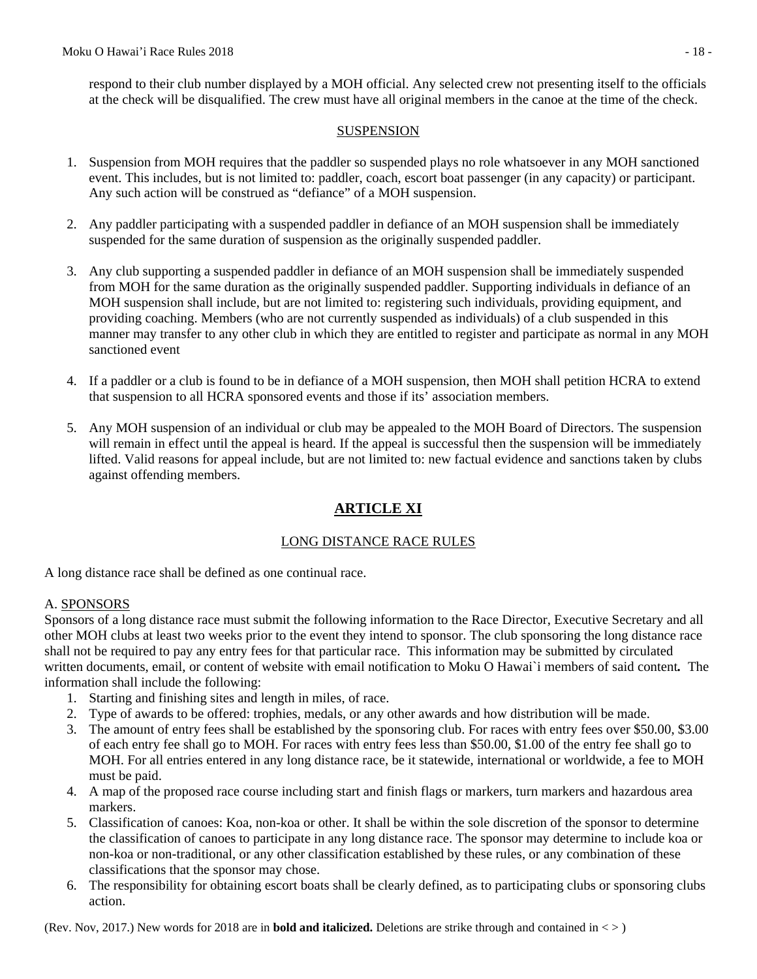respond to their club number displayed by a MOH official. Any selected crew not presenting itself to the officials at the check will be disqualified. The crew must have all original members in the canoe at the time of the check.

#### SUSPENSION

- 1. Suspension from MOH requires that the paddler so suspended plays no role whatsoever in any MOH sanctioned event. This includes, but is not limited to: paddler, coach, escort boat passenger (in any capacity) or participant. Any such action will be construed as "defiance" of a MOH suspension.
- 2. Any paddler participating with a suspended paddler in defiance of an MOH suspension shall be immediately suspended for the same duration of suspension as the originally suspended paddler.
- 3. Any club supporting a suspended paddler in defiance of an MOH suspension shall be immediately suspended from MOH for the same duration as the originally suspended paddler. Supporting individuals in defiance of an MOH suspension shall include, but are not limited to: registering such individuals, providing equipment, and providing coaching. Members (who are not currently suspended as individuals) of a club suspended in this manner may transfer to any other club in which they are entitled to register and participate as normal in any MOH sanctioned event
- 4. If a paddler or a club is found to be in defiance of a MOH suspension, then MOH shall petition HCRA to extend that suspension to all HCRA sponsored events and those if its' association members.
- 5. Any MOH suspension of an individual or club may be appealed to the MOH Board of Directors. The suspension will remain in effect until the appeal is heard. If the appeal is successful then the suspension will be immediately lifted. Valid reasons for appeal include, but are not limited to: new factual evidence and sanctions taken by clubs against offending members.

## **ARTICLE XI**

#### LONG DISTANCE RACE RULES

A long distance race shall be defined as one continual race.

#### A. SPONSORS

Sponsors of a long distance race must submit the following information to the Race Director, Executive Secretary and all other MOH clubs at least two weeks prior to the event they intend to sponsor. The club sponsoring the long distance race shall not be required to pay any entry fees for that particular race. This information may be submitted by circulated written documents, email, or content of website with email notification to Moku O Hawai`i members of said content*.* The information shall include the following:

- 1. Starting and finishing sites and length in miles, of race.
- 2. Type of awards to be offered: trophies, medals, or any other awards and how distribution will be made.
- 3. The amount of entry fees shall be established by the sponsoring club. For races with entry fees over \$50.00, \$3.00 of each entry fee shall go to MOH. For races with entry fees less than \$50.00, \$1.00 of the entry fee shall go to MOH. For all entries entered in any long distance race, be it statewide, international or worldwide, a fee to MOH must be paid.
- 4. A map of the proposed race course including start and finish flags or markers, turn markers and hazardous area markers.
- 5. Classification of canoes: Koa, non-koa or other. It shall be within the sole discretion of the sponsor to determine the classification of canoes to participate in any long distance race. The sponsor may determine to include koa or non-koa or non-traditional, or any other classification established by these rules, or any combination of these classifications that the sponsor may chose.
- 6. The responsibility for obtaining escort boats shall be clearly defined, as to participating clubs or sponsoring clubs action.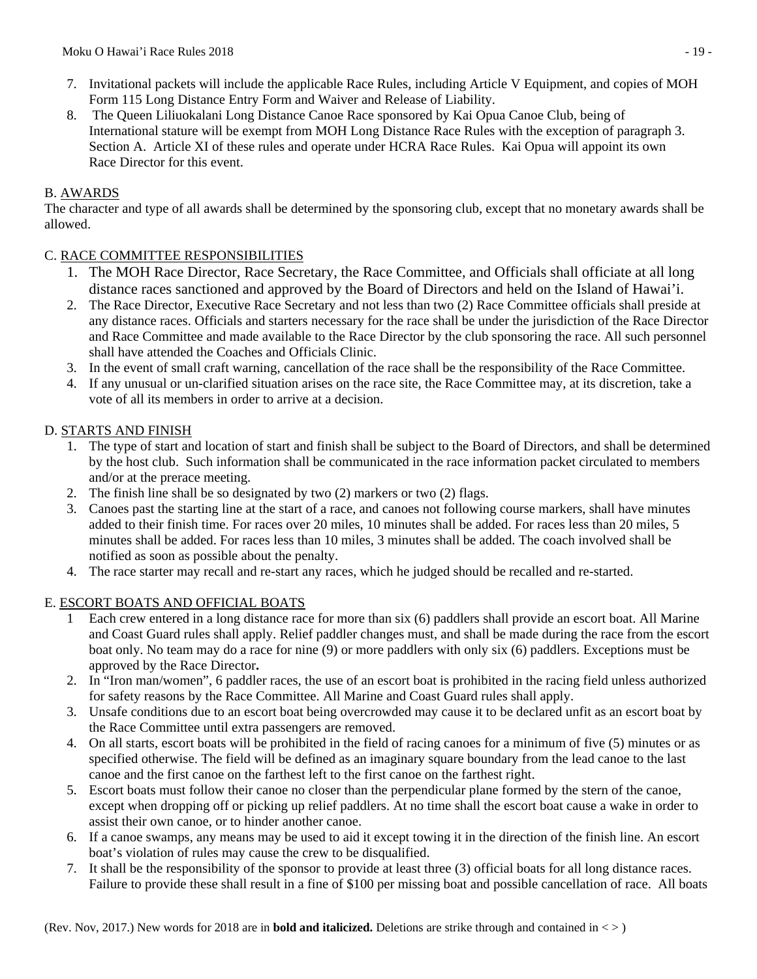- 7. Invitational packets will include the applicable Race Rules, including Article V Equipment, and copies of MOH Form 115 Long Distance Entry Form and Waiver and Release of Liability.
- 8. The Queen Liliuokalani Long Distance Canoe Race sponsored by Kai Opua Canoe Club, being of International stature will be exempt from MOH Long Distance Race Rules with the exception of paragraph 3. Section A. Article XI of these rules and operate under HCRA Race Rules. Kai Opua will appoint its own Race Director for this event.

## B. AWARDS

The character and type of all awards shall be determined by the sponsoring club, except that no monetary awards shall be allowed.

## C. RACE COMMITTEE RESPONSIBILITIES

- 1. The MOH Race Director, Race Secretary, the Race Committee, and Officials shall officiate at all long distance races sanctioned and approved by the Board of Directors and held on the Island of Hawai'i.
- 2. The Race Director, Executive Race Secretary and not less than two (2) Race Committee officials shall preside at any distance races. Officials and starters necessary for the race shall be under the jurisdiction of the Race Director and Race Committee and made available to the Race Director by the club sponsoring the race. All such personnel shall have attended the Coaches and Officials Clinic.
- 3. In the event of small craft warning, cancellation of the race shall be the responsibility of the Race Committee.
- 4. If any unusual or un-clarified situation arises on the race site, the Race Committee may, at its discretion, take a vote of all its members in order to arrive at a decision.

## D. STARTS AND FINISH

- 1. The type of start and location of start and finish shall be subject to the Board of Directors, and shall be determined by the host club. Such information shall be communicated in the race information packet circulated to members and/or at the prerace meeting.
- 2. The finish line shall be so designated by two (2) markers or two (2) flags.
- 3. Canoes past the starting line at the start of a race, and canoes not following course markers, shall have minutes added to their finish time. For races over 20 miles, 10 minutes shall be added. For races less than 20 miles, 5 minutes shall be added. For races less than 10 miles, 3 minutes shall be added. The coach involved shall be notified as soon as possible about the penalty.
- 4. The race starter may recall and re-start any races, which he judged should be recalled and re-started.

## E. ESCORT BOATS AND OFFICIAL BOATS

- 1 Each crew entered in a long distance race for more than six (6) paddlers shall provide an escort boat. All Marine and Coast Guard rules shall apply. Relief paddler changes must, and shall be made during the race from the escort boat only. No team may do a race for nine (9) or more paddlers with only six (6) paddlers. Exceptions must be approved by the Race Director**.**
- 2. In "Iron man/women", 6 paddler races, the use of an escort boat is prohibited in the racing field unless authorized for safety reasons by the Race Committee. All Marine and Coast Guard rules shall apply.
- 3. Unsafe conditions due to an escort boat being overcrowded may cause it to be declared unfit as an escort boat by the Race Committee until extra passengers are removed.
- 4. On all starts, escort boats will be prohibited in the field of racing canoes for a minimum of five (5) minutes or as specified otherwise. The field will be defined as an imaginary square boundary from the lead canoe to the last canoe and the first canoe on the farthest left to the first canoe on the farthest right.
- 5. Escort boats must follow their canoe no closer than the perpendicular plane formed by the stern of the canoe, except when dropping off or picking up relief paddlers. At no time shall the escort boat cause a wake in order to assist their own canoe, or to hinder another canoe.
- 6. If a canoe swamps, any means may be used to aid it except towing it in the direction of the finish line. An escort boat's violation of rules may cause the crew to be disqualified.
- 7. It shall be the responsibility of the sponsor to provide at least three (3) official boats for all long distance races. Failure to provide these shall result in a fine of \$100 per missing boat and possible cancellation of race. All boats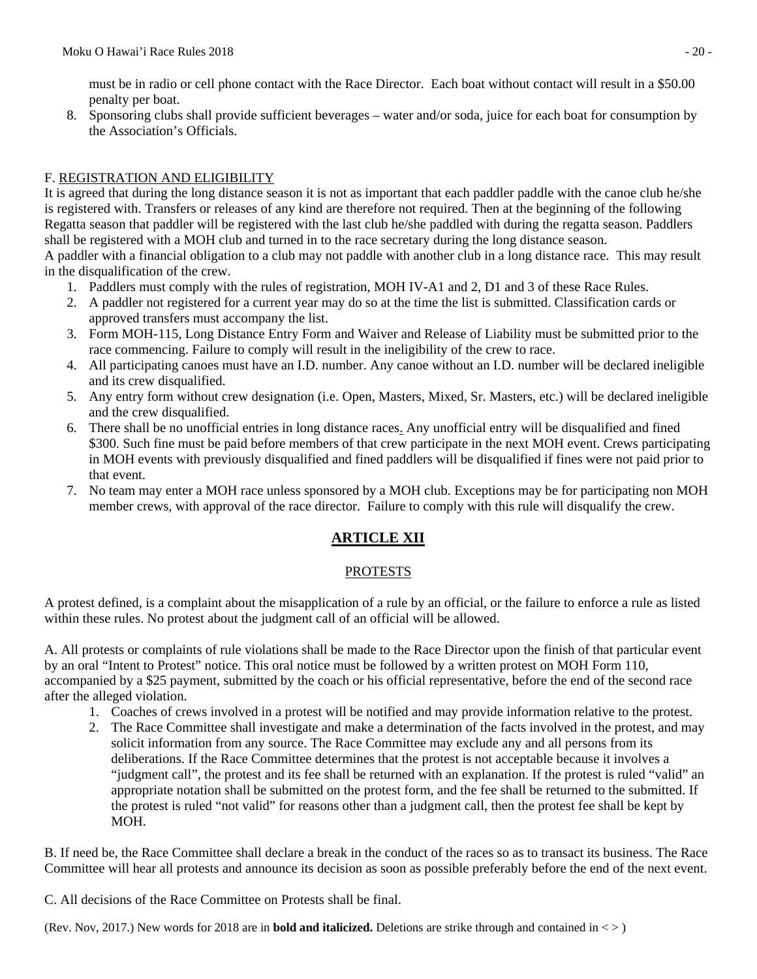must be in radio or cell phone contact with the Race Director. Each boat without contact will result in a \$50.00 penalty per boat.

8. Sponsoring clubs shall provide sufficient beverages – water and/or soda, juice for each boat for consumption by the Association's Officials.

## F. REGISTRATION AND ELIGIBILITY

It is agreed that during the long distance season it is not as important that each paddler paddle with the canoe club he/she is registered with. Transfers or releases of any kind are therefore not required. Then at the beginning of the following Regatta season that paddler will be registered with the last club he/she paddled with during the regatta season. Paddlers shall be registered with a MOH club and turned in to the race secretary during the long distance season.

A paddler with a financial obligation to a club may not paddle with another club in a long distance race. This may result in the disqualification of the crew.

- 1. Paddlers must comply with the rules of registration, MOH IV-A1 and 2, D1 and 3 of these Race Rules.
- 2. A paddler not registered for a current year may do so at the time the list is submitted. Classification cards or approved transfers must accompany the list.
- 3. Form MOH-115, Long Distance Entry Form and Waiver and Release of Liability must be submitted prior to the race commencing. Failure to comply will result in the ineligibility of the crew to race.
- 4. All participating canoes must have an I.D. number. Any canoe without an I.D. number will be declared ineligible and its crew disqualified.
- 5. Any entry form without crew designation (i.e. Open, Masters, Mixed, Sr. Masters, etc.) will be declared ineligible and the crew disqualified.
- 6. There shall be no unofficial entries in long distance races. Any unofficial entry will be disqualified and fined \$300. Such fine must be paid before members of that crew participate in the next MOH event. Crews participating in MOH events with previously disqualified and fined paddlers will be disqualified if fines were not paid prior to that event.
- 7. No team may enter a MOH race unless sponsored by a MOH club. Exceptions may be for participating non MOH member crews, with approval of the race director. Failure to comply with this rule will disqualify the crew.

## **ARTICLE XII**

## PROTESTS

A protest defined, is a complaint about the misapplication of a rule by an official, or the failure to enforce a rule as listed within these rules. No protest about the judgment call of an official will be allowed.

A. All protests or complaints of rule violations shall be made to the Race Director upon the finish of that particular event by an oral "Intent to Protest" notice. This oral notice must be followed by a written protest on MOH Form 110, accompanied by a \$25 payment, submitted by the coach or his official representative, before the end of the second race after the alleged violation.

- 1. Coaches of crews involved in a protest will be notified and may provide information relative to the protest.
- 2. The Race Committee shall investigate and make a determination of the facts involved in the protest, and may solicit information from any source. The Race Committee may exclude any and all persons from its deliberations. If the Race Committee determines that the protest is not acceptable because it involves a "judgment call", the protest and its fee shall be returned with an explanation. If the protest is ruled "valid" an appropriate notation shall be submitted on the protest form, and the fee shall be returned to the submitted. If the protest is ruled "not valid" for reasons other than a judgment call, then the protest fee shall be kept by MOH.

B. If need be, the Race Committee shall declare a break in the conduct of the races so as to transact its business. The Race Committee will hear all protests and announce its decision as soon as possible preferably before the end of the next event.

C. All decisions of the Race Committee on Protests shall be final.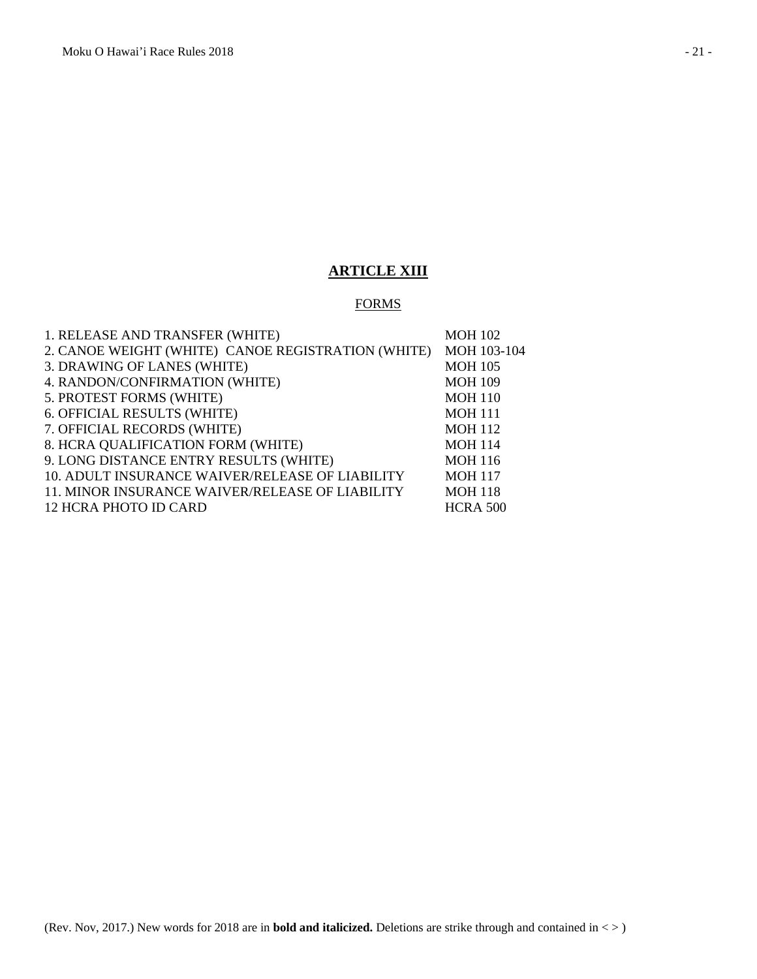## **ARTICLE XIII**

### **FORMS**

| 1. RELEASE AND TRANSFER (WHITE)                    | <b>MOH 102</b>  |
|----------------------------------------------------|-----------------|
| 2. CANOE WEIGHT (WHITE) CANOE REGISTRATION (WHITE) | MOH 103-104     |
| 3. DRAWING OF LANES (WHITE)                        | <b>MOH 105</b>  |
| 4. RANDON/CONFIRMATION (WHITE)                     | <b>MOH 109</b>  |
| 5. PROTEST FORMS (WHITE)                           | <b>MOH 110</b>  |
| 6. OFFICIAL RESULTS (WHITE)                        | <b>MOH 111</b>  |
| 7. OFFICIAL RECORDS (WHITE)                        | <b>MOH 112</b>  |
| 8. HCRA QUALIFICATION FORM (WHITE)                 | <b>MOH 114</b>  |
| 9. LONG DISTANCE ENTRY RESULTS (WHITE)             | <b>MOH 116</b>  |
| 10. ADULT INSURANCE WAIVER/RELEASE OF LIABILITY    | <b>MOH 117</b>  |
| 11. MINOR INSURANCE WAIVER/RELEASE OF LIABILITY    | <b>MOH 118</b>  |
| 12 HCRA PHOTO ID CARD                              | <b>HCRA 500</b> |